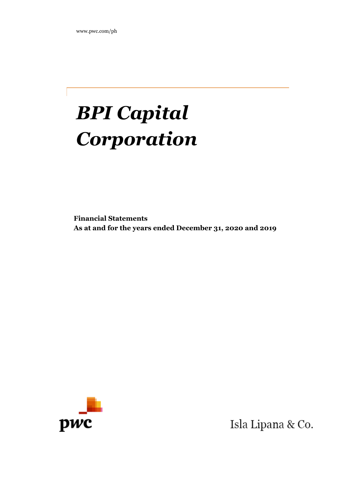**Financial Statements As at and for the years ended December 31, 2020 and 2019**



Isla Lipana & Co.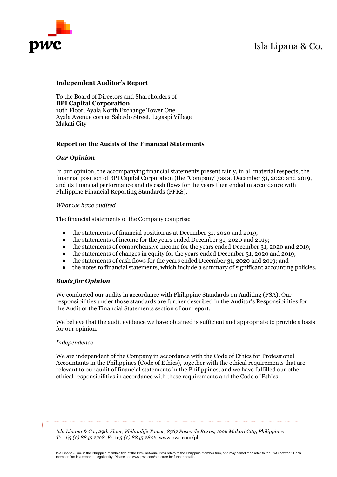

# **Independent Auditor's Report**

To the Board of Directors and Shareholders of **BPI Capital Corporation** 10th Floor, Ayala North Exchange Tower One Ayala Avenue corner Salcedo Street, Legaspi Village Makati City

# **Report on the Audits of the Financial Statements**

# *Our Opinion*

In our opinion, the accompanying financial statements present fairly, in all material respects, the financial position of BPI Capital Corporation (the "Company") as at December 31, 2020 and 2019, and its financial performance and its cash flows for the years then ended in accordance with Philippine Financial Reporting Standards (PFRS).

#### *What we have audited*

The financial statements of the Company comprise:

- the statements of financial position as at December 31, 2020 and 2019;
- the statements of income for the years ended December 31, 2020 and 2019;
- the statements of comprehensive income for the years ended December 31, 2020 and 2019;
- the statements of changes in equity for the years ended December 31, 2020 and 2019;
- the statements of cash flows for the years ended December 31, 2020 and 2019; and
- the notes to financial statements, which include a summary of significant accounting policies.

# *Basis for Opinion*

We conducted our audits in accordance with Philippine Standards on Auditing (PSA). Our responsibilities under those standards are further described in the Auditor's Responsibilities for the Audit of the Financial Statements section of our report.

We believe that the audit evidence we have obtained is sufficient and appropriate to provide a basis for our opinion.

#### *Independence*

We are independent of the Company in accordance with the Code of Ethics for Professional Accountants in the Philippines (Code of Ethics), together with the ethical requirements that are relevant to our audit of financial statements in the Philippines, and we have fulfilled our other ethical responsibilities in accordance with these requirements and the Code of Ethics.

*Isla Lipana & Co., 29th Floor, Philamlife Tower, 8767 Paseo de Roxas, 1226 Makati City, Philippines T: +63 (2) 8845 2728, F: +63 (2) 8845 2806,* www.pwc.com/ph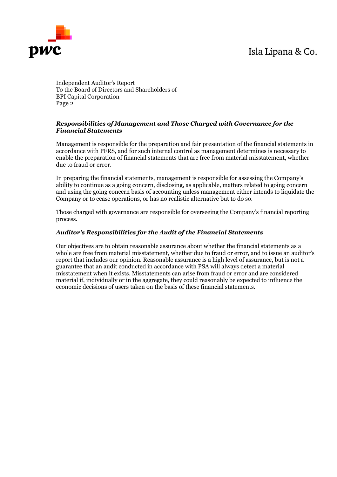# Isla Lipana & Co.



Independent Auditor's Report To the Board of Directors and Shareholders of BPI Capital Corporation Page 2

# *Responsibilities of Management and Those Charged with Governance for the Financial Statements*

Management is responsible for the preparation and fair presentation of the financial statements in accordance with PFRS, and for such internal control as management determines is necessary to enable the preparation of financial statements that are free from material misstatement, whether due to fraud or error.

In preparing the financial statements, management is responsible for assessing the Company's ability to continue as a going concern, disclosing, as applicable, matters related to going concern and using the going concern basis of accounting unless management either intends to liquidate the Company or to cease operations, or has no realistic alternative but to do so.

Those charged with governance are responsible for overseeing the Company's financial reporting process.

# *Auditor's Responsibilities for the Audit of the Financial Statements*

Our objectives are to obtain reasonable assurance about whether the financial statements as a whole are free from material misstatement, whether due to fraud or error, and to issue an auditor's report that includes our opinion. Reasonable assurance is a high level of assurance, but is not a guarantee that an audit conducted in accordance with PSA will always detect a material misstatement when it exists. Misstatements can arise from fraud or error and are considered material if, individually or in the aggregate, they could reasonably be expected to influence the economic decisions of users taken on the basis of these financial statements.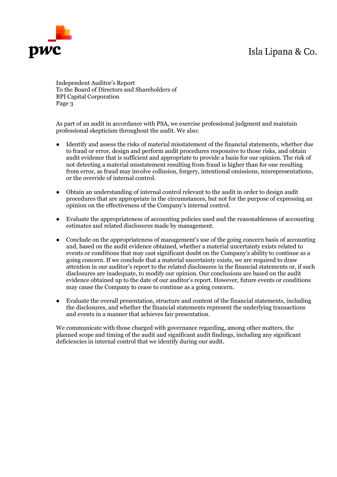# Isla Lipana & Co.



Independent Auditor's Report To the Board of Directors and Shareholders of BPI Capital Corporation Page 3

As part of an audit in accordance with PSA, we exercise professional judgment and maintain professional skepticism throughout the audit. We also:

- Identify and assess the risks of material misstatement of the financial statements, whether due to fraud or error, design and perform audit procedures responsive to those risks, and obtain audit evidence that is sufficient and appropriate to provide a basis for our opinion. The risk of not detecting a material misstatement resulting from fraud is higher than for one resulting from error, as fraud may involve collusion, forgery, intentional omissions, misrepresentations, or the override of internal control.
- Obtain an understanding of internal control relevant to the audit in order to design audit procedures that are appropriate in the circumstances, but not for the purpose of expressing an opinion on the effectiveness of the Company's internal control.
- Evaluate the appropriateness of accounting policies used and the reasonableness of accounting estimates and related disclosures made by management.
- Conclude on the appropriateness of management's use of the going concern basis of accounting and, based on the audit evidence obtained, whether a material uncertainty exists related to events or conditions that may cast significant doubt on the Company's ability to continue as a going concern. If we conclude that a material uncertainty exists, we are required to draw attention in our auditor's report to the related disclosures in the financial statements or, if such disclosures are inadequate, to modify our opinion. Our conclusions are based on the audit evidence obtained up to the date of our auditor's report. However, future events or conditions may cause the Company to cease to continue as a going concern.
- Evaluate the overall presentation, structure and content of the financial statements, including the disclosures, and whether the financial statements represent the underlying transactions and events in a manner that achieves fair presentation.

We communicate with those charged with governance regarding, among other matters, the planned scope and timing of the audit and significant audit findings, including any significant deficiencies in internal control that we identify during our audit.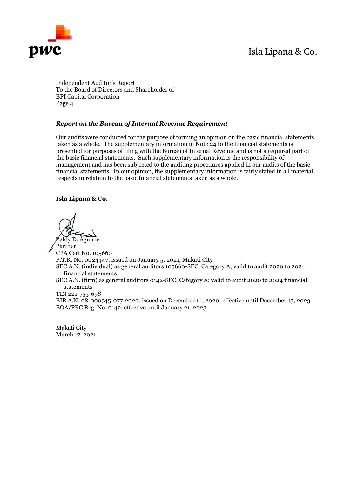# Isla Lipana & Co.



Independent Auditor's Report To the Board of Directors and Shareholder of BPI Capital Corporation Page 4

# *Report on the Bureau of Internal Revenue Requirement*

Our audits were conducted for the purpose of forming an opinion on the basic financial statements taken as a whole. The supplementary information in Note 24 to the financial statements is presented for purposes of filing with the Bureau of Internal Revenue and is not a required part of the basic financial statements. Such supplementary information is the responsibility of management and has been subjected to the auditing procedures applied in our audits of the basic financial statements. In our opinion, the supplementary information is fairly stated in all material respects in relation to the basic financial statements taken as a whole.

# **Isla Lipana & Co.**

aldy D. Aguirre Partner CPA Cert No. 105660 P.T.R. No. 0024447, issued on January 5, 2021, Makati City SEC A.N. (individual) as general auditors 105660-SEC, Category A; valid to audit 2020 to 2024 financial statements SEC A.N. (firm) as general auditors 0142-SEC, Category A; valid to audit 2020 to 2024 financial statements TIN 221-755-698

BIR A.N. 08-000745-077-2020, issued on December 14, 2020; effective until December 13, 2023 BOA/PRC Reg. No. 0142, effective until January 21, 2023

Makati City March 17, 2021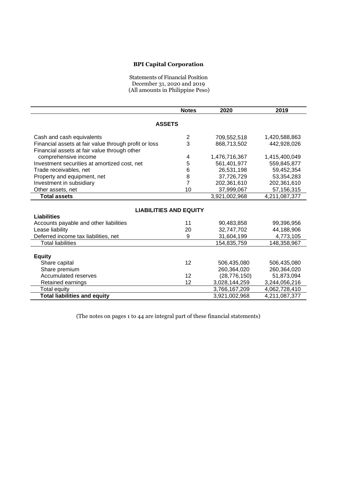Statements of Financial Position December 31, 2020 and 2019 (All amounts in Philippine Peso)

|                                                       | <b>Notes</b>   | 2020           | 2019          |
|-------------------------------------------------------|----------------|----------------|---------------|
|                                                       |                |                |               |
| <b>ASSETS</b>                                         |                |                |               |
| Cash and cash equivalents                             | 2              | 709,552,518    | 1,420,588,863 |
| Financial assets at fair value through profit or loss | 3              | 868,713,502    | 442,928,026   |
| Financial assets at fair value through other          |                |                |               |
| comprehensive income                                  | 4              | 1,476,716,367  | 1,415,400,049 |
| Investment securities at amortized cost, net          | 5              | 561,401,977    | 559,845,877   |
| Trade receivables, net                                | 6              | 26,531,198     | 59,452,354    |
| Property and equipment, net                           | 8              | 37,726,729     | 53,354,283    |
| Investment in subsidiary                              | $\overline{7}$ | 202,361,610    | 202,361,610   |
| Other assets, net                                     | 10             | 37,999,067     | 57,156,315    |
| <b>Total assets</b>                                   |                | 3,921,002,968  | 4,211,087,377 |
|                                                       |                |                |               |
| <b>LIABILITIES AND EQUITY</b>                         |                |                |               |
| <b>Liabilities</b>                                    |                |                |               |
| Accounts payable and other liabilities                | 11             | 90,483,858     | 99,396,956    |
| Lease liability                                       | 20             | 32,747,702     | 44,188,906    |
| Deferred income tax liabilities, net                  | 9              | 31,604,199     | 4,773,105     |
| <b>Total liabilities</b>                              |                | 154,835,759    | 148,358,967   |
|                                                       |                |                |               |
| <b>Equity</b>                                         |                |                |               |
| Share capital                                         | 12             | 506,435,080    | 506,435,080   |
| Share premium                                         |                | 260,364,020    | 260,364,020   |
| <b>Accumulated reserves</b>                           | 12             | (28, 776, 150) | 51,873,094    |
| Retained earnings                                     | 12             | 3,028,144,259  | 3,244,056,216 |
| <b>Total equity</b>                                   |                | 3,766,167,209  | 4,062,728,410 |
| <b>Total liabilities and equity</b>                   |                | 3,921,002,968  | 4,211,087,377 |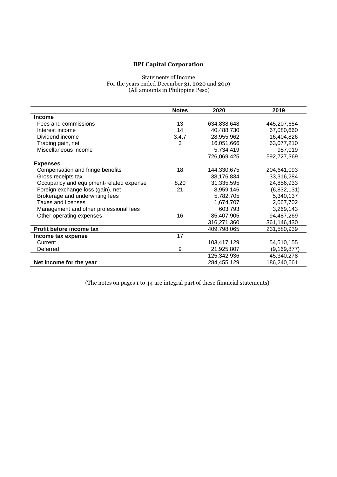#### Statements of Income For the years ended December 31, 2020 and 2019 (All amounts in Philippine Peso)

|                                         | <b>Notes</b> | 2020        | 2019          |
|-----------------------------------------|--------------|-------------|---------------|
| <b>Income</b>                           |              |             |               |
| Fees and commissions                    | 13           | 634,838,648 | 445,207,654   |
| Interest income                         | 14           | 40,488,730  | 67,080,660    |
| Dividend income                         | 3,4,7        | 28,955,962  | 16,404,826    |
| Trading gain, net                       | 3            | 16,051,666  | 63,077,210    |
| Miscellaneous income                    |              | 5,734,419   | 957,019       |
|                                         |              | 726,069,425 | 592,727,369   |
| <b>Expenses</b>                         |              |             |               |
| Compensation and fringe benefits        | 18           | 144,330,675 | 204,641,093   |
| Gross receipts tax                      |              | 38,176,834  | 33,316,284    |
| Occupancy and equipment-related expense | 8,20         | 31,335,595  | 24,856,933    |
| Foreign exchange loss (gain), net       | 21           | 8,959,146   | (6,832,131)   |
| Brokerage and underwriting fees         |              | 5,782,705   | 5,340,137     |
| <b>Taxes and licenses</b>               |              | 1,674,707   | 2,067,702     |
| Management and other professional fees  |              | 603,793     | 3,269,143     |
| Other operating expenses                | 16           | 85,407,905  | 94,487,269    |
|                                         |              | 316,271,360 | 361,146,430   |
| Profit before income tax                |              | 409,798,065 | 231,580,939   |
| Income tax expense                      | 17           |             |               |
| Current                                 |              | 103,417,129 | 54,510,155    |
| Deferred                                | 9            | 21,925,807  | (9, 169, 877) |
|                                         |              | 125,342,936 | 45,340,278    |
| Net income for the year                 |              | 284,455,129 | 186,240,661   |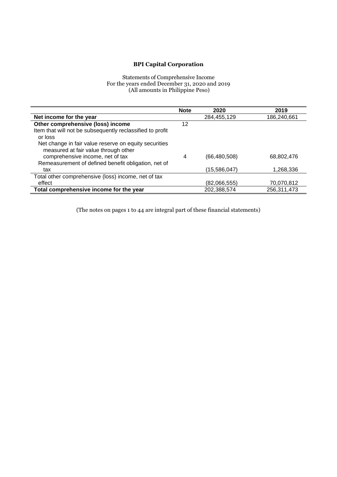#### Statements of Comprehensive Income For the years ended December 31, 2020 and 2019 (All amounts in Philippine Peso)

|                                                                                               | <b>Note</b> | 2020         | 2019        |
|-----------------------------------------------------------------------------------------------|-------------|--------------|-------------|
| Net income for the year                                                                       |             | 284,455,129  | 186,240,661 |
| Other comprehensive (loss) income                                                             | 12          |              |             |
| Item that will not be subsequently reclassified to profit<br>or loss                          |             |              |             |
| Net change in fair value reserve on equity securities<br>measured at fair value through other |             |              |             |
| comprehensive income, net of tax                                                              | 4           | (66,480,508) | 68,802,476  |
| Remeasurement of defined benefit obligation, net of                                           |             |              |             |
| tax                                                                                           |             | (15,586,047) | 1,268,336   |
| Total other comprehensive (loss) income, net of tax                                           |             |              |             |
| effect                                                                                        |             | (82,066,555) | 70,070,812  |
| Total comprehensive income for the year                                                       |             | 202,388,574  | 256,311,473 |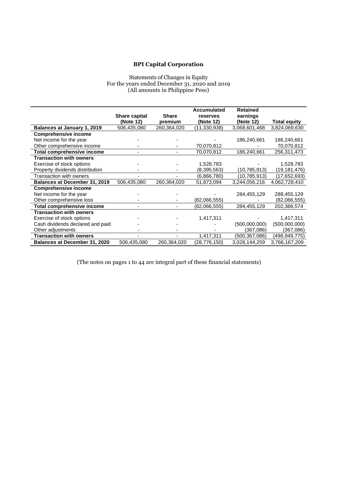#### Statements of Changes in Equity For the years ended December 31, 2020 and 2019 (All amounts in Philippine Peso)

|                                   |                      |              | <b>Accumulated</b> | <b>Retained</b> |                     |
|-----------------------------------|----------------------|--------------|--------------------|-----------------|---------------------|
|                                   | <b>Share capital</b> | <b>Share</b> | reserves           | earnings        |                     |
|                                   | (Note 12)            | premium      | (Note 12)          | (Note 12)       | <b>Total equity</b> |
| Balances at January 1, 2019       | 506,435,080          | 260,364,020  | (11, 330, 938)     | 3,068,601,468   | 3,824,069,630       |
| <b>Comprehensive income</b>       |                      |              |                    |                 |                     |
| Net income for the year           |                      |              |                    | 186,240,661     | 186,240,661         |
| Other comprehensive income        |                      |              | 70,070,812         |                 | 70,070,812          |
| <b>Total comprehensive income</b> |                      |              | 70,070,812         | 186,240,661     | 256,311,473         |
| <b>Transaction with owners</b>    |                      |              |                    |                 |                     |
| Exercise of stock options         |                      |              | 1,528,783          |                 | 1,528,783           |
| Property dividends distribution   |                      |              | (8,395,563)        | (10,785,913)    | (19,181,476)        |
| Transaction with owners           |                      |              | (6,866,780)        | (10,785,913)    | (17,652,693)        |
| Balances at December 31, 2019     | 506,435,080          | 260,364,020  | 51,873,094         | 3,244,056,216   | 4,062,728,410       |
| <b>Comprehensive income</b>       |                      |              |                    |                 |                     |
| Net income for the year           |                      |              |                    | 284,455,129     | 288,455,129         |
| Other comprehensive loss          |                      |              | (82,066,555)       |                 | (82,066,555)        |
| Total comprehensive income        |                      |              | (82,066,555)       | 284,455,129     | 202,388,574         |
| <b>Transaction with owners</b>    |                      |              |                    |                 |                     |
| Exercise of stock options         |                      |              | 1,417,311          |                 | 1,417,311           |
| Cash dividends declared and paid  |                      |              |                    | (500,000,000)   | (500,000,000)       |
| Other adjustments                 |                      |              |                    | (367,086)       | (367,086)           |
| <b>Transaction with owners</b>    |                      |              | 1,417,311          | (500,367,086)   | (498, 949, 775)     |
| Balances at December 31, 2020     | 506,435,080          | 260,364,020  | (28,776,150)       | 3,028,144,259   | 3,766,167,209       |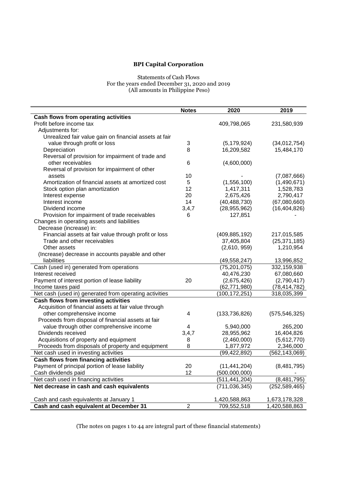#### Statements of Cash Flows For the years ended December 31, 2020 and 2019 (All amounts in Philippine Peso)

|                                                        | <b>Notes</b>   | 2020            | 2019            |
|--------------------------------------------------------|----------------|-----------------|-----------------|
| Cash flows from operating activities                   |                |                 |                 |
| Profit before income tax                               |                | 409,798,065     | 231,580,939     |
| Adjustments for:                                       |                |                 |                 |
| Unrealized fair value gain on financial assets at fair |                |                 |                 |
| value through profit or loss                           | 3              | (5, 179, 924)   | (34, 012, 754)  |
| Depreciation                                           | 8              | 16,209,582      | 15,484,170      |
| Reversal of provision for impairment of trade and      |                |                 |                 |
| other receivables                                      | 6              | (4,600,000)     |                 |
| Reversal of provision for impairment of other          |                |                 |                 |
| assets                                                 | 10             |                 | (7,087,666)     |
| Amortization of financial assets at amortized cost     | 5              | (1,556,100)     | (1,490,671)     |
| Stock option plan amortization                         | 12             | 1,417,311       | 1,528,783       |
| Interest expense                                       | 20             | 2,675,426       | 2,790,417       |
| Interest income                                        | 14             | (40, 488, 730)  | (67,080,660)    |
| Dividend income                                        | 3,4,7          | (28, 955, 962)  | (16, 404, 826)  |
| Provision for impairment of trade receivables          | 6              | 127,851         |                 |
| Changes in operating assets and liabilities            |                |                 |                 |
| Decrease (increase) in:                                |                |                 |                 |
| Financial assets at fair value through profit or loss  |                | (409, 885, 192) | 217,015,585     |
| Trade and other receivables                            |                | 37,405,804      | (25, 371, 185)  |
| Other assets                                           |                | (2,610, 959)    | 1,210,954       |
| (Increase) decrease in accounts payable and other      |                |                 |                 |
| liabilities                                            |                | (49, 558, 247)  | 13,996,852      |
| Cash (used in) generated from operations               |                | (75, 201, 075)  | 332,159,938     |
| Interest received                                      |                | 40,476,230      | 67,080,660      |
| Payment of interest portion of lease liability         | 20             | (2,675,426)     | (2,790,417)     |
| Income taxes paid                                      |                | (62, 771, 980)  | (78, 414, 782)  |
| Net cash (used in) generated from operating activities |                | (100, 172, 251) | 318,035,399     |
| Cash flows from investing activities                   |                |                 |                 |
| Acquisition of financial assets at fair value through  |                |                 |                 |
| other comprehensive income                             | 4              | (133, 736, 826) | (575, 546, 325) |
| Proceeds from disposal of financial assets at fair     |                |                 |                 |
| value through other comprehensive income               | 4              | 5,940,000       | 265,200         |
| Dividends received                                     | 3,4,7          | 28,955,962      | 16,404,826      |
| Acquisitions of property and equipment                 | 8              | (2,460,000)     | (5,612,770)     |
| Proceeds from disposals of property and equipment      | 8              | 1,877,972       | 2,346,000       |
| Net cash used in investing activities                  |                | (99, 422, 892)  | (562, 143, 069) |
| Cash flows from financing activities                   |                |                 |                 |
| Payment of principal portion of lease liability        | 20             | (11, 441, 204)  | (8,481,795)     |
| Cash dividends paid                                    | 12             | (500,000,000)   |                 |
| Net cash used in financing activities                  |                | (511,441,204)   | (8,481,795)     |
| Net decrease in cash and cash equivalents              |                | (711, 036, 345) | (252, 589, 465) |
|                                                        |                |                 |                 |
| Cash and cash equivalents at January 1                 |                | 1,420,588,863   | 1,673,178,328   |
| Cash and cash equivalent at December 31                | $\overline{2}$ | 709,552,518     | 1,420,588,863   |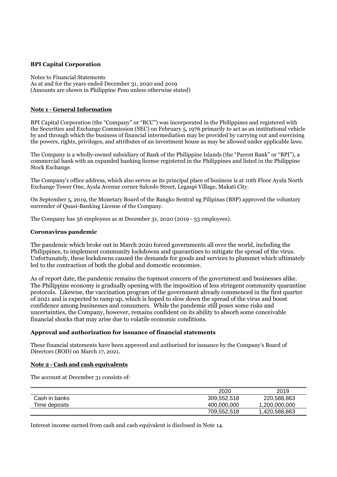Notes to Financial Statements As at and for the years ended December 31, 2020 and 2019 (Amounts are shown in Philippine Peso unless otherwise stated)

#### **Note 1 - General Information**

BPI Capital Corporation (the "Company" or "BCC") was incorporated in the Philippines and registered with the Securities and Exchange Commission (SEC) on February 5, 1976 primarily to act as an institutional vehicle by and through which the business of financial intermediation may be provided by carrying out and exercising the powers, rights, privileges, and attributes of an investment house as may be allowed under applicable laws.

The Company is a wholly-owned subsidiary of Bank of the Philippine Islands (the "Parent Bank" or "BPI"), a commercial bank with an expanded banking license registered in the Philippines and listed in the Philippine Stock Exchange.

The Company's office address, which also serves as its principal place of business is at 10th Floor Ayala North Exchange Tower One, Ayala Avenue corner Salcedo Street, Legaspi Village, Makati City.

On September 5, 2019, the Monetary Board of the Bangko Sentral ng Pilipinas (BSP) approved the voluntary surrender of Quasi-Banking License of the Company.

The Company has 56 employees as at December 31, 2020 (2019 - 53 employees).

#### **Coronavirus pandemic**

The pandemic which broke out in March 2020 forced governments all over the world, including the Philippines, to implement community lockdowns and quarantines to mitigate the spread of the virus. Unfortunately, these lockdowns caused the demands for goods and services to plummet which ultimately led to the contraction of both the global and domestic economies.

As of report date, the pandemic remains the topmost concern of the government and businesses alike. The Philippine economy is gradually opening with the imposition of less stringent community quarantine protocols. Likewise, the vaccination program of the government already commenced in the first quarter of 2021 and is expected to ramp up, which is hoped to slow down the spread of the virus and boost confidence among businesses and consumers. While the pandemic still poses some risks and uncertainties, the Company, however, remains confident on its ability to absorb some conceivable financial shocks that may arise due to volatile economic conditions.

#### **Approval and authorization for issuance of financial statements**

These financial statements have been approved and authorized for issuance by the Company's Board of Directors (BOD) on March 17, 2021.

# **Note 2 - Cash and cash equivalents**

The account at December 31 consists of:

|               | 2020        | 2019          |
|---------------|-------------|---------------|
| Cash in banks | 309,552,518 | 220,588,863   |
| Time deposits | 400,000,000 | 1,200,000,000 |
|               | 709,552,518 | 1,420,588,863 |

Interest income earned from cash and cash equivalent is disclosed in Note 14.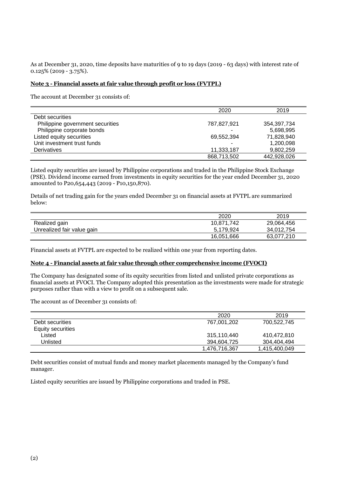As at December 31, 2020, time deposits have maturities of 9 to 19 days (2019 - 63 days) with interest rate of 0.125% (2019 - 3.75%).

# **Note 3 - Financial assets at fair value through profit or loss (FVTPL)**

The account at December 31 consists of:

|                                  | 2020        | 2019          |
|----------------------------------|-------------|---------------|
| Debt securities                  |             |               |
| Philippine government securities | 787,827,921 | 354, 397, 734 |
| Philippine corporate bonds       | ٠           | 5,698,995     |
| Listed equity securities         | 69,552,394  | 71,828,940    |
| Unit investment trust funds      | -           | 1,200,098     |
| Derivatives                      | 11,333,187  | 9,802,259     |
|                                  | 868,713,502 | 442,928,026   |

Listed equity securities are issued by Philippine corporations and traded in the Philippine Stock Exchange (PSE). Dividend income earned from investments in equity securities for the year ended December 31, 2020 amounted to P20,654,443 (2019 - P10,150,870).

Details of net trading gain for the years ended December 31 on financial assets at FVTPL are summarized below:

|                            | 2020       | 2019       |
|----------------------------|------------|------------|
| Realized gain              | 10.871.742 | 29,064,456 |
| Unrealized fair value gain | 5.179.924  | 34.012.754 |
|                            | 16,051,666 | 63,077,210 |

Financial assets at FVTPL are expected to be realized within one year from reporting dates.

# **Note 4 - Financial assets at fair value through other comprehensive income (FVOCI)**

The Company has designated some of its equity securities from listed and unlisted private corporations as financial assets at FVOCI. The Company adopted this presentation as the investments were made for strategic purposes rather than with a view to profit on a subsequent sale.

The account as of December 31 consists of:

|                   | 2020          | 2019          |
|-------------------|---------------|---------------|
| Debt securities   | 767,001,202   | 700,522,745   |
| Equity securities |               |               |
| Listed            | 315,110,440   | 410,472,810   |
| Unlisted          | 394.604.725   | 304.404.494   |
|                   | 1,476,716,367 | 1,415,400,049 |

Debt securities consist of mutual funds and money market placements managed by the Company's fund manager.

Listed equity securities are issued by Philippine corporations and traded in PSE.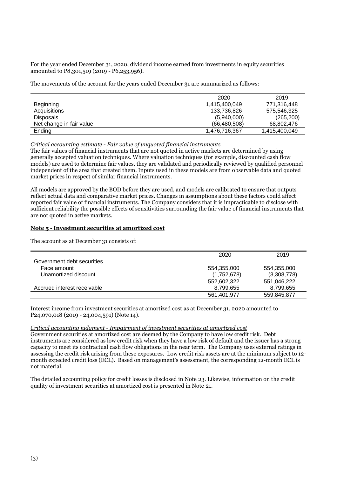For the year ended December 31, 2020, dividend income earned from investments in equity securities amounted to P8,301,519 (2019 - P6,253,956).

The movements of the account for the years ended December 31 are summarized as follows:

|                          | 2020           | 2019          |
|--------------------------|----------------|---------------|
| Beginning                | 1,415,400,049  | 771,316,448   |
| Acquisitions             | 133,736,826    | 575,546,325   |
| <b>Disposals</b>         | (5,940,000)    | (265, 200)    |
| Net change in fair value | (66, 480, 508) | 68,802,476    |
| Ending                   | 1,476,716,367  | 1,415,400,049 |

*Critical accounting estimate - Fair value of unquoted financial instruments*

The fair values of financial instruments that are not quoted in active markets are determined by using generally accepted valuation techniques. Where valuation techniques (for example, discounted cash flow models) are used to determine fair values, they are validated and periodically reviewed by qualified personnel independent of the area that created them. Inputs used in these models are from observable data and quoted market prices in respect of similar financial instruments.

All models are approved by the BOD before they are used, and models are calibrated to ensure that outputs reflect actual data and comparative market prices. Changes in assumptions about these factors could affect reported fair value of financial instruments. The Company considers that it is impracticable to disclose with sufficient reliability the possible effects of sensitivities surrounding the fair value of financial instruments that are not quoted in active markets.

# **Note 5 - Investment securities at amortized cost**

The account as at December 31 consists of:

|                             | 2020        | 2019        |
|-----------------------------|-------------|-------------|
| Government debt securities  |             |             |
| Face amount                 | 554,355,000 | 554,355,000 |
| Unamortized discount        | (1,752,678) | (3,308,778) |
|                             | 552,602,322 | 551,046,222 |
| Accrued interest receivable | 8,799,655   | 8,799,655   |
|                             | 561,401,977 | 559,845,877 |

Interest income from investment securities at amortized cost as at December 31, 2020 amounted to P24,070,018 (2019 - 24,004,591) (Note 14).

#### *Critical accounting judgment - Impairment of investment securities at amortized cost*

Government securities at amortized cost are deemed by the Company to have low credit risk. Debt instruments are considered as low credit risk when they have a low risk of default and the issuer has a strong capacity to meet its contractual cash flow obligations in the near term. The Company uses external ratings in assessing the credit risk arising from these exposures. Low credit risk assets are at the minimum subject to 12 month expected credit loss (ECL). Based on management's assessment, the corresponding 12-month ECL is not material.

The detailed accounting policy for credit losses is disclosed in Note 23. Likewise, information on the credit quality of investment securities at amortized cost is presented in Note 21.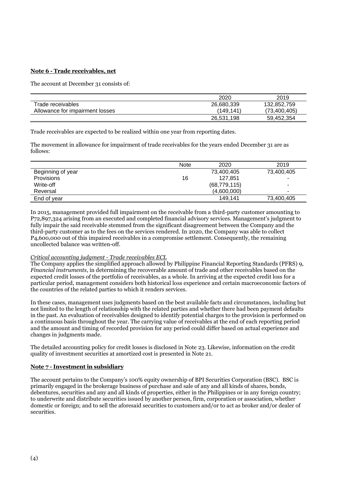# **Note 6 - Trade receivables, net**

The account at December 31 consists of:

|                                 | 2020       | 2019         |
|---------------------------------|------------|--------------|
| Trade receivables               | 26,680,339 | 132,852,759  |
| Allowance for impairment losses | (149.141)  | (73.400.405) |
|                                 | 26.531.198 | 59.452.354   |

Trade receivables are expected to be realized within one year from reporting dates.

The movement in allowance for impairment of trade receivables for the years ended December 31 are as follows:

|                   | <b>Note</b> | 2020           | 2019       |
|-------------------|-------------|----------------|------------|
| Beginning of year |             | 73,400,405     | 73,400,405 |
| Provisions        | 16          | 127.851        | ٠          |
| Write-off         |             | (68, 779, 115) | -          |
| Reversal          |             | (4,600,000)    | ۰          |
| End of year       |             | 149.141        | 73,400,405 |

In 2015, management provided full impairment on the receivable from a third-party customer amounting to P72,897,324 arising from an executed and completed financial advisory services. Management's judgment to fully impair the said receivable stemmed from the significant disagreement between the Company and the third-party customer as to the fees on the services rendered. In 2020, the Company was able to collect P4,600,000 out of this impaired receivables in a compromise settlement. Consequently, the remaining uncollected balance was written-off.

# *Critical accounting judgment - Trade receivables ECL*

The Company applies the simplified approach allowed by Philippine Financial Reporting Standards (PFRS) 9, *Financial instruments*, in determining the recoverable amount of trade and other receivables based on the expected credit losses of the portfolio of receivables, as a whole. In arriving at the expected credit loss for a particular period, management considers both historical loss experience and certain macroeconomic factors of the countries of the related parties to which it renders services.

In these cases, management uses judgments based on the best available facts and circumstances, including but not limited to the length of relationship with the related parties and whether there had been payment defaults in the past. An evaluation of receivables designed to identify potential charges to the provision is performed on a continuous basis throughout the year. The carrying value of receivables at the end of each reporting period and the amount and timing of recorded provision for any period could differ based on actual experience and changes in judgments made.

The detailed accounting policy for credit losses is disclosed in Note 23. Likewise, information on the credit quality of investment securities at amortized cost is presented in Note 21.

# **Note 7 - Investment in subsidiary**

The account pertains to the Company's 100% equity ownership of BPI Securities Corporation (BSC). BSC is primarily engaged in the brokerage business of purchase and sale of any and all kinds of shares, bonds, debentures, securities and any and all kinds of properties, either in the Philippines or in any foreign country; to underwrite and distribute securities issued by another person, firm, corporation or association, whether domestic or foreign; and to sell the aforesaid securities to customers and/or to act as broker and/or dealer of securities.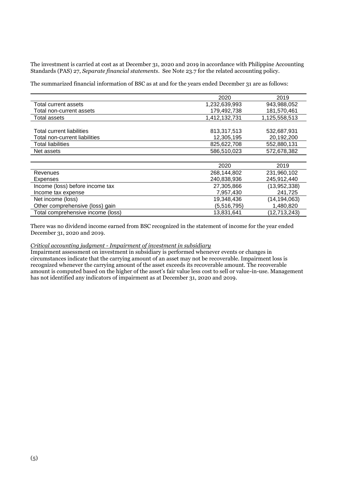The investment is carried at cost as at December 31, 2020 and 2019 in accordance with Philippine Accounting Standards (PAS) 27, *Separate financial statements*. See Note 23.7 for the related accounting policy.

The summarized financial information of BSC as at and for the years ended December 31 are as follows:

|                                   | 2020          | 2019           |
|-----------------------------------|---------------|----------------|
| Total current assets              | 1,232,639,993 | 943,988,052    |
| Total non-current assets          | 179,492,738   | 181,570,461    |
| Total assets                      | 1,412,132,731 | 1,125,558,513  |
|                                   |               |                |
| Total current liabilities         | 813,317,513   | 532,687,931    |
| Total non-current liabilities     | 12,305,195    | 20,192,200     |
| Total liabilities                 | 825,622,708   | 552,880,131    |
| Net assets                        | 586,510,023   | 572,678,382    |
|                                   |               |                |
|                                   | 2020          | 2019           |
| Revenues                          | 268,144,802   | 231,960,102    |
| <b>Expenses</b>                   | 240.838.936   | 245,912,440    |
| Income (loss) before income tax   | 27,305,866    | (13,952,338)   |
| Income tax expense                | 7,957,430     | 241,725        |
| Net income (loss)                 | 19,348,436    | (14, 194, 063) |
| Other comprehensive (loss) gain   | (5,516,795)   | 1,480,820      |
| Total comprehensive income (loss) | 13,831,641    | (12,713,243)   |

There was no dividend income earned from BSC recognized in the statement of income for the year ended December 31, 2020 and 2019.

# *Critical accounting judgment - Impairment of investment in subsidiary*

Impairment assessment on investment in subsidiary is performed whenever events or changes in circumstances indicate that the carrying amount of an asset may not be recoverable. Impairment loss is recognized whenever the carrying amount of the asset exceeds its recoverable amount. The recoverable amount is computed based on the higher of the asset's fair value less cost to sell or value-in-use. Management has not identified any indicators of impairment as at December 31, 2020 and 2019.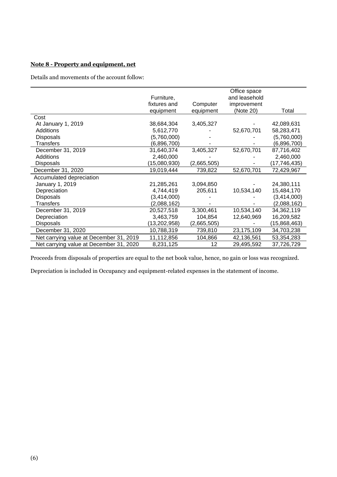# **Note 8 - Property and equipment, net**

Details and movements of the account follow:

|                                         |              |             | Office space  |                |
|-----------------------------------------|--------------|-------------|---------------|----------------|
|                                         | Furniture,   |             | and leasehold |                |
|                                         | fixtures and | Computer    | improvement   |                |
|                                         | equipment    | equipment   | (Note 20)     | Total          |
| Cost                                    |              |             |               |                |
| At January 1, 2019                      | 38,684,304   | 3,405,327   |               | 42,089,631     |
| <b>Additions</b>                        | 5,612,770    |             | 52,670,701    | 58,283,471     |
| Disposals                               | (5,760,000)  |             |               | (5,760,000)    |
| Transfers                               | (6,896,700)  |             |               | (6,896,700)    |
| December 31, 2019                       | 31,640,374   | 3,405,327   | 52,670,701    | 87,716,402     |
| <b>Additions</b>                        | 2,460,000    |             |               | 2,460,000      |
| <b>Disposals</b>                        | (15,080,930) | (2,665,505) |               | (17, 746, 435) |
| December 31, 2020                       | 19,019,444   | 739,822     | 52,670,701    | 72,429,967     |
| Accumulated depreciation                |              |             |               |                |
| January 1, 2019                         | 21,285,261   | 3,094,850   |               | 24,380,111     |
| Depreciation                            | 4,744,419    | 205,611     | 10,534,140    | 15,484,170     |
| <b>Disposals</b>                        | (3,414,000)  |             |               | (3, 414, 000)  |
| Transfers                               | (2,088,162)  |             |               | (2,088,162)    |
| December 31, 2019                       | 20,527,518   | 3,300,461   | 10,534,140    | 34,362,119     |
| Depreciation                            | 3,463,759    | 104,854     | 12,640,969    | 16,209,582     |
| <b>Disposals</b>                        | (13,202,958) | (2,665,505) |               | (15,868,463)   |
| December 31, 2020                       | 10,788,319   | 739,810     | 23,175,109    | 34,703,238     |
| Net carrying value at December 31, 2019 | 11,112,856   | 104,866     | 42,136,561    | 53,354,283     |
| Net carrying value at December 31, 2020 | 8,231,125    | 12          | 29,495,592    | 37,726,729     |

Proceeds from disposals of properties are equal to the net book value, hence, no gain or loss was recognized.

Depreciation is included in Occupancy and equipment-related expenses in the statement of income.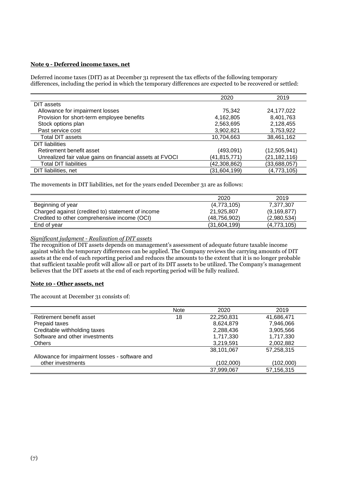# **Note 9 - Deferred income taxes, net**

Deferred income taxes (DIT) as at December 31 represent the tax effects of the following temporary differences, including the period in which the temporary differences are expected to be recovered or settled:

|                                                          | 2020           | 2019          |
|----------------------------------------------------------|----------------|---------------|
| DIT assets                                               |                |               |
| Allowance for impairment losses                          | 75,342         | 24,177,022    |
| Provision for short-term employee benefits               | 4,162,805      | 8,401,763     |
| Stock options plan                                       | 2,563,695      | 2,128,455     |
| Past service cost                                        | 3,902,821      | 3,753,922     |
| <b>Total DIT assets</b>                                  | 10,704,663     | 38,461,162    |
| <b>DIT</b> liabilities                                   |                |               |
| Retirement benefit asset                                 | (493,091)      | (12,505,941)  |
| Unrealized fair value gains on financial assets at FVOCI | (41,815,771)   | (21,182,116)  |
| <b>Total DIT liabilities</b>                             | (42, 308, 862) | (33,688,057)  |
| DIT liabilities, net                                     | (31,604,199)   | (4, 773, 105) |

The movements in DIT liabilities, net for the years ended December 31 are as follows:

|                                                   | 2020         | 2019          |
|---------------------------------------------------|--------------|---------------|
| Beginning of year                                 | (4,773,105)  | 7,377,307     |
| Charged against (credited to) statement of income | 21,925,807   | (9, 169, 877) |
| Credited to other comprehensive income (OCI)      | (48,756,902) | (2,980,534)   |
| End of year                                       | (31,604,199) | (4,773,105)   |

#### *Significant judgment - Realization of DIT assets*

The recognition of DIT assets depends on management's assessment of adequate future taxable income against which the temporary differences can be applied. The Company reviews the carrying amounts of DIT assets at the end of each reporting period and reduces the amounts to the extent that it is no longer probable that sufficient taxable profit will allow all or part of its DIT assets to be utilized. The Company's management believes that the DIT assets at the end of each reporting period will be fully realized.

# **Note 10 - Other assets, net**

The account at December 31 consists of:

|                                                | <b>Note</b> | 2020       | 2019       |
|------------------------------------------------|-------------|------------|------------|
| Retirement benefit asset                       | 18          | 22,250,831 | 41,686,471 |
| Prepaid taxes                                  |             | 8,624,879  | 7,946,066  |
| Creditable withholding taxes                   |             | 2,288,436  | 3,905,566  |
| Software and other investments                 |             | 1,717,330  | 1,717,330  |
| <b>Others</b>                                  |             | 3,219,591  | 2,002,882  |
|                                                |             | 38,101,067 | 57,258,315 |
| Allowance for impairment losses - software and |             |            |            |
| other investments                              |             | (102,000)  | (102,000)  |
|                                                |             | 37,999,067 | 57,156,315 |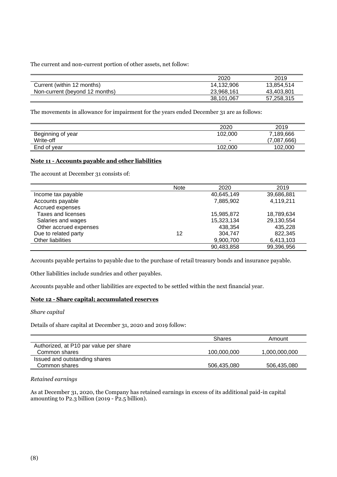The current and non-current portion of other assets, net follow:

|                                | 2020       | 2019       |
|--------------------------------|------------|------------|
| Current (within 12 months)     | 14,132,906 | 13,854,514 |
| Non-current (beyond 12 months) | 23.968.161 | 43,403,801 |
|                                | 38,101,067 | 57,258,315 |

The movements in allowance for impairment for the years ended December 31 are as follows:

|                   | 2020    | 2019        |
|-------------------|---------|-------------|
| Beginning of year | 102,000 | 7,189,666   |
| Write-off         |         | (7,087,666) |
| End of year       | 102,000 | 102,000     |

# **Note 11 - Accounts payable and other liabilities**

The account at December 31 consists of:

|                        | <b>Note</b> | 2020       | 2019       |
|------------------------|-------------|------------|------------|
| Income tax payable     |             | 40,645,149 | 39,686,881 |
| Accounts payable       |             | 7,885,902  | 4,119,211  |
| Accrued expenses       |             |            |            |
| Taxes and licenses     |             | 15,985,872 | 18,789,634 |
| Salaries and wages     |             | 15,323,134 | 29,130,554 |
| Other accrued expenses |             | 438.354    | 435,228    |
| Due to related party   | 12          | 304,747    | 822,345    |
| Other liabilities      |             | 9,900,700  | 6,413,103  |
|                        |             | 90,483,858 | 99,396,956 |

Accounts payable pertains to payable due to the purchase of retail treasury bonds and insurance payable.

Other liabilities include sundries and other payables.

Accounts payable and other liabilities are expected to be settled within the next financial year.

# **Note 12 - Share capital; accumulated reserves**

#### *Share capital*

Details of share capital at December 31, 2020 and 2019 follow:

|                                        | <b>Shares</b> | Amount        |
|----------------------------------------|---------------|---------------|
| Authorized, at P10 par value per share |               |               |
| Common shares                          | 100.000.000   | 1,000,000,000 |
| Issued and outstanding shares          |               |               |
| Common shares                          | 506,435,080   | 506,435,080   |

*Retained earnings*

As at December 31, 2020, the Company has retained earnings in excess of its additional paid-in capital amounting to P2.3 billion (2019 - P2.5 billion).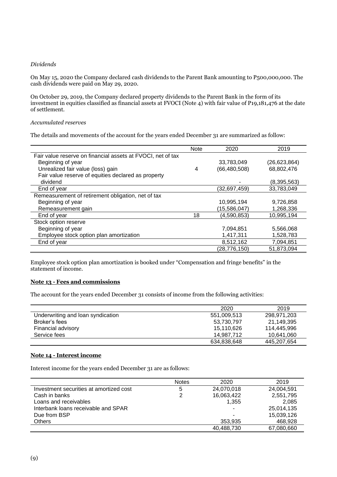#### *Dividends*

On May 15, 2020 the Company declared cash dividends to the Parent Bank amounting to P500,000,000. The cash dividends were paid on May 29, 2020.

On October 29, 2019, the Company declared property dividends to the Parent Bank in the form of its investment in equities classified as financial assets at FVOCI (Note 4) with fair value of P19,181,476 at the date of settlement.

#### *Accumulated reserves*

The details and movements of the account for the years ended December 31 are summarized as follow:

|                                                             | <b>Note</b> | 2020           | 2019           |
|-------------------------------------------------------------|-------------|----------------|----------------|
| Fair value reserve on financial assets at FVOCI, net of tax |             |                |                |
| Beginning of year                                           |             | 33,783,049     | (26, 623, 864) |
| Unrealized fair value (loss) gain                           | 4           | (66, 480, 508) | 68,802,476     |
| Fair value reserve of equities declared as property         |             |                |                |
| dividend                                                    |             |                | (8,395,563)    |
| End of year                                                 |             | (32,697,459)   | 33,783,049     |
| Remeasurement of retirement obligation, net of tax          |             |                |                |
| Beginning of year                                           |             | 10,995,194     | 9,726,858      |
| Remeasurement gain                                          |             | (15,586,047)   | 1,268,336      |
| End of year                                                 | 18          | (4,590,853)    | 10,995,194     |
| Stock option reserve                                        |             |                |                |
| Beginning of year                                           |             | 7,094,851      | 5,566,068      |
| Employee stock option plan amortization                     |             | 1,417,311      | 1,528,783      |
| End of year                                                 |             | 8,512,162      | 7,094,851      |
|                                                             |             | (28, 776, 150) | 51,873,094     |

Employee stock option plan amortization is booked under "Compensation and fringe benefits" in the statement of income.

# **Note 13 - Fees and commissions**

The account for the years ended December 31 consists of income from the following activities:

|                                   | 2020        | 2019        |
|-----------------------------------|-------------|-------------|
| Underwriting and loan syndication | 551,009,513 | 298,971,203 |
| Broker's fees                     | 53,730,797  | 21.149.395  |
| Financial advisory                | 15,110,626  | 114,445,996 |
| Service fees                      | 14.987.712  | 10.641.060  |
|                                   | 634,838,648 | 445,207,654 |

#### **Note 14 - Interest income**

Interest income for the years ended December 31 are as follows:

|                                         | <b>Notes</b> | 2020       | 2019       |
|-----------------------------------------|--------------|------------|------------|
| Investment securities at amortized cost | 5            | 24,070,018 | 24,004,591 |
| Cash in banks                           |              | 16,063,422 | 2,551,795  |
| Loans and receivables                   |              | 1.355      | 2.085      |
| Interbank loans receivable and SPAR     |              |            | 25,014,135 |
| Due from BSP                            |              | -          | 15,039,126 |
| <b>Others</b>                           |              | 353,935    | 468,928    |
|                                         |              | 40,488,730 | 67,080,660 |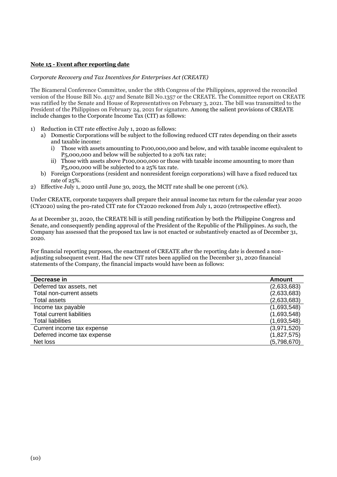# **Note 15 - Event after reporting date**

#### *Corporate Recovery and Tax Incentives for Enterprises Act (CREATE)*

The Bicameral Conference Committee, under the 18th Congress of the Philippines, approved the reconciled version of the House Bill No. 4157 and Senate Bill No.1357 or the CREATE. The Committee report on CREATE was ratified by the Senate and House of Representatives on February 3, 2021. The bill was transmitted to the President of the Philippines on February 24, 2021 for signature. Among the salient provisions of CREATE include changes to the Corporate Income Tax (CIT) as follows:

- 1) Reduction in CIT rate effective July 1, 2020 as follows:
	- a) Domestic Corporations will be subject to the following reduced CIT rates depending on their assets and taxable income:
		- i) Those with assets amounting to P100,000,000 and below, and with taxable income equivalent to P5,000,000 and below will be subjected to a 20% tax rate;
		- ii) Those with assets above P100,000,000 or those with taxable income amounting to more than P5,000,000 will be subjected to a 25% tax rate.
	- b) Foreign Corporations (resident and nonresident foreign corporations) will have a fixed reduced tax rate of 25%.
- 2) Effective July 1, 2020 until June 30, 2023, the MCIT rate shall be one percent (1%).

Under CREATE, corporate taxpayers shall prepare their annual income tax return for the calendar year 2020 (CY2020) using the pro-rated CIT rate for CY2020 reckoned from July 1, 2020 (retrospective effect).

As at December 31, 2020, the CREATE bill is still pending ratification by both the Philippine Congress and Senate, and consequently pending approval of the President of the Republic of the Philippines. As such, the Company has assessed that the proposed tax law is not enacted or substantively enacted as of December 31, 2020.

For financial reporting purposes, the enactment of CREATE after the reporting date is deemed a nonadjusting subsequent event. Had the new CIT rates been applied on the December 31, 2020 financial statements of the Company, the financial impacts would have been as follows:

| Decrease in                 | Amount      |
|-----------------------------|-------------|
| Deferred tax assets, net    | (2,633,683) |
| Total non-current assets    | (2,633,683) |
| Total assets                | (2,633,683) |
| Income tax payable          | (1,693,548) |
| Total current liabilities   | (1,693,548) |
| <b>Total liabilities</b>    | (1,693,548) |
| Current income tax expense  | (3,971,520) |
| Deferred income tax expense | (1,827,575) |
| Net loss                    | (5,798,670) |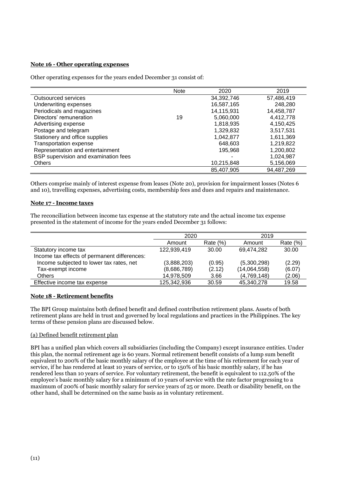# **Note 16 - Other operating expenses**

Other operating expenses for the years ended December 31 consist of:

|                                      | <b>Note</b> | 2020       | 2019       |
|--------------------------------------|-------------|------------|------------|
| Outsourced services                  |             | 34,392,746 | 57,486,419 |
| Underwriting expenses                |             | 16,587,165 | 248,280    |
| Periodicals and magazines            |             | 14,115,931 | 14,458,787 |
| Directors' remuneration              | 19          | 5,060,000  | 4,412,778  |
| Advertising expense                  |             | 1,818,935  | 4,150,425  |
| Postage and telegram                 |             | 1,329,832  | 3,517,531  |
| Stationery and office supplies       |             | 1,042,877  | 1,611,369  |
| <b>Transportation expense</b>        |             | 648,603    | 1,219,822  |
| Representation and entertainment     |             | 195.968    | 1,200,802  |
| BSP supervision and examination fees |             |            | 1,024,987  |
| <b>Others</b>                        |             | 10,215,848 | 5,156,069  |
|                                      |             | 85,407,905 | 94,487,269 |

Others comprise mainly of interest expense from leases (Note 20), provision for impairment losses (Notes 6 and 10), travelling expenses, advertising costs, membership fees and dues and repairs and maintenance.

#### **Note 17 - Income taxes**

The reconciliation between income tax expense at the statutory rate and the actual income tax expense presented in the statement of income for the years ended December 31 follows:

|                                              | 2020        |             | 2019         |             |
|----------------------------------------------|-------------|-------------|--------------|-------------|
|                                              | Amount      | Rate $(\%)$ | Amount       | Rate $(\%)$ |
| Statutory income tax                         | 122,939,419 | 30.00       | 69,474,282   | 30.00       |
| Income tax effects of permanent differences: |             |             |              |             |
| Income subjected to lower tax rates, net     | (3,888,203) | (0.95)      | (5,300,298)  | (2.29)      |
| Tax-exempt income                            | (8,686,789) | (2.12)      | (14,064,558) | (6.07)      |
| <b>Others</b>                                | 14,978,509  | 3.66        | (4,769,148)  | (2.06)      |
| Effective income tax expense                 | 125,342,936 | 30.59       | 45,340,278   | 19.58       |

# **Note 18 - Retirement benefits**

The BPI Group maintains both defined benefit and defined contribution retirement plans. Assets of both retirement plans are held in trust and governed by local regulations and practices in the Philippines. The key terms of these pension plans are discussed below.

#### (a) Defined benefit retirement plan

BPI has a unified plan which covers all subsidiaries (including the Company) except insurance entities. Under this plan, the normal retirement age is 60 years. Normal retirement benefit consists of a lump sum benefit equivalent to 200% of the basic monthly salary of the employee at the time of his retirement for each year of service, if he has rendered at least 10 years of service, or to 150% of his basic monthly salary, if he has rendered less than 10 years of service. For voluntary retirement, the benefit is equivalent to 112.50% of the employee's basic monthly salary for a minimum of 10 years of service with the rate factor progressing to a maximum of 200% of basic monthly salary for service years of 25 or more. Death or disability benefit, on the other hand, shall be determined on the same basis as in voluntary retirement.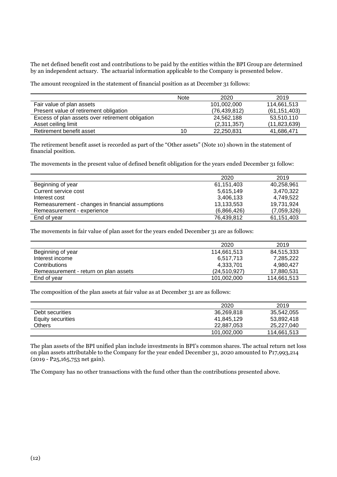The net defined benefit cost and contributions to be paid by the entities within the BPI Group are determined by an independent actuary. The actuarial information applicable to the Company is presented below.

The amount recognized in the statement of financial position as at December 31 follows:

|                                                  | <b>Note</b> | 2020           | 2019           |
|--------------------------------------------------|-------------|----------------|----------------|
| Fair value of plan assets                        |             | 101,002,000    | 114,661,513    |
| Present value of retirement obligation           |             | (76, 439, 812) | (61, 151, 403) |
| Excess of plan assets over retirement obligation |             | 24,562,188     | 53,510,110     |
| Asset ceiling limit                              |             | (2,311,357)    | (11,823,639)   |
| Retirement benefit asset                         | 10          | 22,250,831     | 41,686,471     |

The retirement benefit asset is recorded as part of the "Other assets" (Note 10) shown in the statement of financial position.

The movements in the present value of defined benefit obligation for the years ended December 31 follow:

|                                                  | 2020        | 2019        |
|--------------------------------------------------|-------------|-------------|
| Beginning of year                                | 61,151,403  | 40,258,961  |
| Current service cost                             | 5,615,149   | 3,470,322   |
| Interest cost                                    | 3,406,133   | 4,749,522   |
| Remeasurement - changes in financial assumptions | 13,133,553  | 19,731,924  |
| Remeasurement - experience                       | (6,866,426) | (7,059,326) |
| End of year                                      | 76,439,812  | 61,151,403  |

The movements in fair value of plan asset for the years ended December 31 are as follows:

|                                       | 2020           | 2019        |
|---------------------------------------|----------------|-------------|
| Beginning of year                     | 114,661,513    | 84,515,333  |
| Interest income                       | 6,517,713      | 7,285,222   |
| Contributions                         | 4.333.701      | 4.980.427   |
| Remeasurement - return on plan assets | (24, 510, 927) | 17,880,531  |
| End of year                           | 101,002,000    | 114,661,513 |

The composition of the plan assets at fair value as at December 31 are as follows:

|                   | 2020        | 2019        |
|-------------------|-------------|-------------|
| Debt securities   | 36,269,818  | 35,542,055  |
| Equity securities | 41.845.129  | 53,892,418  |
| <b>Others</b>     | 22.887.053  | 25,227,040  |
|                   | 101,002,000 | 114,661,513 |

The plan assets of the BPI unified plan include investments in BPI's common shares. The actual return net loss on plan assets attributable to the Company for the year ended December 31, 2020 amounted to P17,993,214 (2019 - P25,165,753 net gain).

The Company has no other transactions with the fund other than the contributions presented above.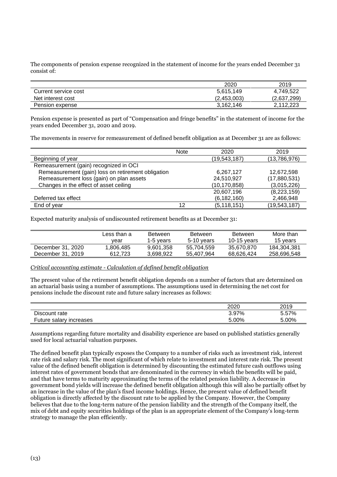The components of pension expense recognized in the statement of income for the years ended December 31 consist of:

|                      | 2020        | 2019        |
|----------------------|-------------|-------------|
| Current service cost | 5,615,149   | 4,749,522   |
| Net interest cost    | (2,453,003) | (2,637,299) |
| Pension expense      | 3.162.146   | 2.112.223   |

Pension expense is presented as part of "Compensation and fringe benefits" in the statement of income for the years ended December 31, 2020 and 2019.

The movements in reserve for remeasurement of defined benefit obligation as at December 31 are as follows:

|                                                    | <b>Note</b> | 2020           | 2019           |
|----------------------------------------------------|-------------|----------------|----------------|
| Beginning of year                                  |             | (19, 543, 187) | (13,786,976)   |
| Remeasurement (gain) recognized in OCI             |             |                |                |
| Remeasurement (gain) loss on retirement obligation |             | 6.267.127      | 12.672.598     |
| Remeasurement loss (gain) on plan assets           |             | 24,510,927     | (17,880,531)   |
| Changes in the effect of asset ceiling             |             | (10, 170, 858) | (3,015,226)    |
|                                                    |             | 20,607,196     | (8,223,159)    |
| Deferred tax effect                                |             | (6, 182, 160)  | 2,466,948      |
| End of year                                        | 12          | (5, 118, 151)  | (19, 543, 187) |
|                                                    |             |                |                |

Expected maturity analysis of undiscounted retirement benefits as at December 31:

|                   | Less than a | <b>Between</b> | <b>Between</b> | <b>Between</b> | More than   |
|-------------------|-------------|----------------|----------------|----------------|-------------|
|                   | vear        | 1-5 vears      | 5-10 years     | 10-15 vears    | 15 vears    |
| December 31, 2020 | 806.485.ا   | 9.601.358      | 55.704.559     | 35.670.870     | 184,304,381 |
| December 31, 2019 | 612.723     | 3.698.922      | 55.407.964     | 68.626.424     | 258,696,548 |

# *Critical accounting estimate - Calculation of defined benefit obligation*

The present value of the retirement benefit obligation depends on a number of factors that are determined on an actuarial basis using a number of assumptions. The assumptions used in determining the net cost for pensions include the discount rate and future salary increases as follows:

|                         | 2020  | 2019  |
|-------------------------|-------|-------|
| Discount rate           | 3.97% | 5.57% |
| Future salary increases | 5.00% | 5.00% |

Assumptions regarding future mortality and disability experience are based on published statistics generally used for local actuarial valuation purposes.

The defined benefit plan typically exposes the Company to a number of risks such as investment risk, interest rate risk and salary risk. The most significant of which relate to investment and interest rate risk. The present value of the defined benefit obligation is determined by discounting the estimated future cash outflows using interest rates of government bonds that are denominated in the currency in which the benefits will be paid, and that have terms to maturity approximating the terms of the related pension liability. A decrease in government bond yields will increase the defined benefit obligation although this will also be partially offset by an increase in the value of the plan's fixed income holdings. Hence, the present value of defined benefit obligation is directly affected by the discount rate to be applied by the Company. However, the Company believes that due to the long-term nature of the pension liability and the strength of the Company itself, the mix of debt and equity securities holdings of the plan is an appropriate element of the Company's long-term strategy to manage the plan efficiently.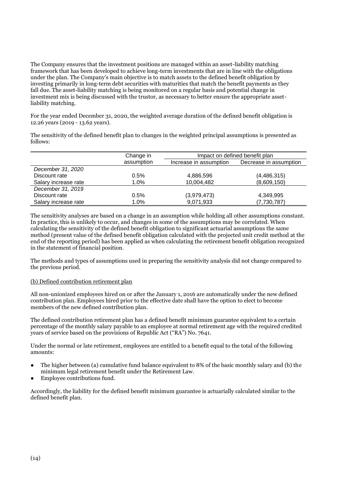The Company ensures that the investment positions are managed within an asset-liability matching framework that has been developed to achieve long-term investments that are in line with the obligations under the plan. The Company's main objective is to match assets to the defined benefit obligation by investing primarily in long-term debt securities with maturities that match the benefit payments as they fall due. The asset-liability matching is being monitored on a regular basis and potential change in investment mix is being discussed with the trustor, as necessary to better ensure the appropriate assetliability matching.

For the year ended December 31, 2020, the weighted average duration of the defined benefit obligation is 12.26 years (2019 - 13.62 years).

The sensitivity of the defined benefit plan to changes in the weighted principal assumptions is presented as follows:

|                      | Change in  | Impact on defined benefit plan |                        |  |
|----------------------|------------|--------------------------------|------------------------|--|
|                      | assumption | Increase in assumption         | Decrease in assumption |  |
| December 31, 2020    |            |                                |                        |  |
| Discount rate        | 0.5%       | 4,886,596                      | (4,486,315)            |  |
| Salary increase rate | 1.0%       | 10,004,482                     | (8,609,150)            |  |
| December 31, 2019    |            |                                |                        |  |
| Discount rate        | 0.5%       | (3,979,473)                    | 4,349,995              |  |
| Salary increase rate | 1.0%       | 9,071,933                      | (7,730,787)            |  |

The sensitivity analyses are based on a change in an assumption while holding all other assumptions constant. In practice, this is unlikely to occur, and changes in some of the assumptions may be correlated. When calculating the sensitivity of the defined benefit obligation to significant actuarial assumptions the same method (present value of the defined benefit obligation calculated with the projected unit credit method at the end of the reporting period) has been applied as when calculating the retirement benefit obligation recognized in the statement of financial position.

The methods and types of assumptions used in preparing the sensitivity analysis did not change compared to the previous period.

# (b) Defined contribution retirement plan

All non-unionized employees hired on or after the January 1, 2016 are automatically under the new defined contribution plan. Employees hired prior to the effective date shall have the option to elect to become members of the new defined contribution plan.

The defined contribution retirement plan has a defined benefit minimum guarantee equivalent to a certain percentage of the monthly salary payable to an employee at normal retirement age with the required credited years of service based on the provisions of Republic Act ("RA") No. 7641.

Under the normal or late retirement, employees are entitled to a benefit equal to the total of the following amounts:

- The higher between (a) cumulative fund balance equivalent to 8% of the basic monthly salary and (b) the minimum legal retirement benefit under the Retirement Law.
- Employee contributions fund.

Accordingly, the liability for the defined benefit minimum guarantee is actuarially calculated similar to the defined benefit plan.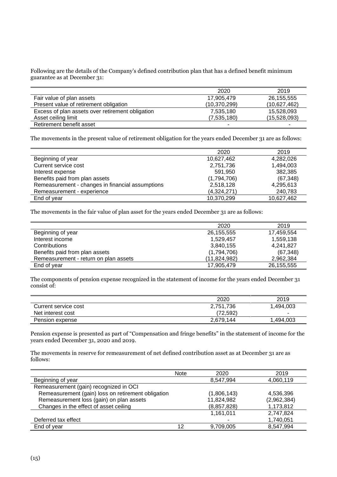Following are the details of the Company's defined contribution plan that has a defined benefit minimum guarantee as at December 31:

|                                                  | 2020           | 2019         |
|--------------------------------------------------|----------------|--------------|
| Fair value of plan assets                        | 17.905.479     | 26,155,555   |
| Present value of retirement obligation           | (10, 370, 299) | (10,627,462) |
| Excess of plan assets over retirement obligation | 7,535,180      | 15,528,093   |
| Asset ceiling limit                              | (7,535,180)    | (15,528,093) |
| Retirement benefit asset                         | -              |              |

The movements in the present value of retirement obligation for the years ended December 31 are as follows:

|                                                  | 2020        | 2019       |
|--------------------------------------------------|-------------|------------|
| Beginning of year                                | 10,627,462  | 4,282,026  |
| Current service cost                             | 2,751,736   | 1,494,003  |
| Interest expense                                 | 591.950     | 382,385    |
| Benefits paid from plan assets                   | (1,794,706) | (67, 348)  |
| Remeasurement - changes in financial assumptions | 2,518,128   | 4,295,613  |
| Remeasurement - experience                       | (4,324,271) | 240,783    |
| End of year                                      | 10,370,299  | 10,627,462 |

The movements in the fair value of plan asset for the years ended December 31 are as follows:

|                                       | 2020         | 2019       |
|---------------------------------------|--------------|------------|
| Beginning of year                     | 26,155,555   | 17,459,554 |
| Interest income                       | 1,529,457    | 1,559,138  |
| Contributions                         | 3,840,155    | 4,241,827  |
| Benefits paid from plan assets        | (1,794,706)  | (67, 348)  |
| Remeasurement - return on plan assets | (11,824,982) | 2,962,384  |
| End of year                           | 17.905.479   | 26,155,555 |
|                                       |              |            |
|                                       |              |            |

The components of pension expense recognized in the statement of income for the years ended December 31 consist of:

|                      | 2020      | 2019      |
|----------------------|-----------|-----------|
| Current service cost | 2,751,736 | 1,494,003 |
| Net interest cost    | (72,592)  | -         |
| Pension expense      | 2,679,144 | ,494,003  |

Pension expense is presented as part of "Compensation and fringe benefits" in the statement of income for the years ended December 31, 2020 and 2019.

The movements in reserve for remeasurement of net defined contribution asset as at December 31 are as follows:

|                                                    | <b>Note</b> | 2020        | 2019        |
|----------------------------------------------------|-------------|-------------|-------------|
| Beginning of year                                  |             | 8,547,994   | 4,060,119   |
| Remeasurement (gain) recognized in OCI             |             |             |             |
| Remeasurement (gain) loss on retirement obligation |             | (1,806,143) | 4,536,396   |
| Remeasurement loss (gain) on plan assets           |             | 11,824,982  | (2,962,384) |
| Changes in the effect of asset ceiling             |             | (8,857,828) | 1,173,812   |
|                                                    |             | 1,161,011   | 2,747,824   |
| Deferred tax effect                                |             |             | 1,740,051   |
| End of year                                        | 12          | 9,709,005   | 8,547,994   |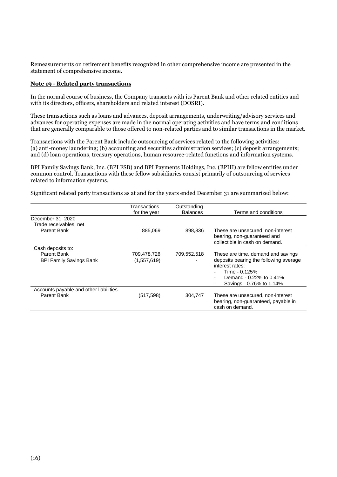Remeasurements on retirement benefits recognized in other comprehensive income are presented in the statement of comprehensive income.

#### **Note 19 - Related party transactions**

In the normal course of business, the Company transacts with its Parent Bank and other related entities and with its directors, officers, shareholders and related interest (DOSRI).

These transactions such as loans and advances, deposit arrangements, underwriting/advisory services and advances for operating expenses are made in the normal operating activities and have terms and conditions that are generally comparable to those offered to non-related parties and to similar transactions in the market.

Transactions with the Parent Bank include outsourcing of services related to the following activities: (a) anti-money laundering; (b) accounting and securities administration services; (c) deposit arrangements; and (d) loan operations, treasury operations, human resource-related functions and information systems.

BPI Family Savings Bank, Inc. (BPI FSB) and BPI Payments Holdings, Inc. (BPHI) are fellow entities under common control. Transactions with these fellow subsidiaries consist primarily of outsourcing of services related to information systems.

Significant related party transactions as at and for the years ended December 31 are summarized below:

|                                             | Transactions<br>for the year | Outstanding<br><b>Balances</b> | Terms and conditions                                                                                                              |
|---------------------------------------------|------------------------------|--------------------------------|-----------------------------------------------------------------------------------------------------------------------------------|
| December 31, 2020<br>Trade receivables, net |                              |                                |                                                                                                                                   |
| Parent Bank                                 | 885,069                      | 898,836                        | These are unsecured, non-interest<br>bearing, non-guaranteed and<br>collectible in cash on demand.                                |
| Cash deposits to:                           |                              |                                |                                                                                                                                   |
| Parent Bank                                 | 709,478,726                  | 709,552,518                    | These are time, demand and savings                                                                                                |
| <b>BPI Family Savings Bank</b>              | (1,557,619)                  |                                | deposits bearing the following average<br>interest rates:<br>Time - 0.125%<br>Demand - 0.22% to 0.41%<br>Savings - 0.76% to 1.14% |
| Accounts payable and other liabilities      |                              |                                |                                                                                                                                   |
| Parent Bank                                 | (517,598)                    | 304,747                        | These are unsecured, non-interest<br>bearing, non-guaranteed, payable in<br>cash on demand.                                       |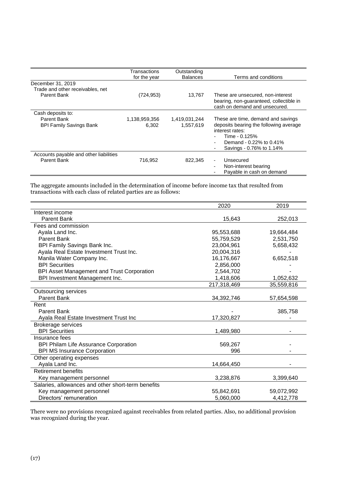|                                                                      | Transactions<br>for the year | Outstanding<br><b>Balances</b> | Terms and conditions                                                                                                                                                    |
|----------------------------------------------------------------------|------------------------------|--------------------------------|-------------------------------------------------------------------------------------------------------------------------------------------------------------------------|
| December 31, 2019<br>Trade and other receivables, net<br>Parent Bank | (724,953)                    | 13,767                         | These are unsecured, non-interest<br>bearing, non-guaranteed, collectible in<br>cash on demand and unsecured.                                                           |
| Cash deposits to:<br>Parent Bank<br><b>BPI Family Savings Bank</b>   | 1,138,959,356<br>6.302       | 1,419,031,244<br>1.557.619     | These are time, demand and savings<br>deposits bearing the following average<br>interest rates:<br>Time - 0.125%<br>Demand - 0.22% to 0.41%<br>Savings - 0.76% to 1.14% |
| Accounts payable and other liabilities<br>Parent Bank                | 716,952                      | 822,345                        | Unsecured<br>$\blacksquare$<br>Non-interest bearing<br>Payable in cash on demand                                                                                        |

The aggregate amounts included in the determination of income before income tax that resulted from transactions with each class of related parties are as follows:

|                                                    | 2020        | 2019       |
|----------------------------------------------------|-------------|------------|
| Interest income                                    |             |            |
| <b>Parent Bank</b>                                 | 15,643      | 252,013    |
| Fees and commission                                |             |            |
| Ayala Land Inc.                                    | 95,553,688  | 19,664,484 |
| <b>Parent Bank</b>                                 | 55,759,529  | 2,531,750  |
| BPI Family Savings Bank Inc.                       | 23,004,961  | 5,658,432  |
| Ayala Real Estate Investment Trust Inc.            | 20,004,316  |            |
| Manila Water Company Inc.                          | 16,176,667  | 6,652,518  |
| <b>BPI Securities</b>                              | 2,856,000   |            |
| BPI Asset Management and Trust Corporation         | 2,544,702   |            |
| BPI Investment Management Inc.                     | 1,418,606   | 1,052,632  |
|                                                    | 217,318,469 | 35,559,816 |
| <b>Outsourcing services</b>                        |             |            |
| <b>Parent Bank</b>                                 | 34,392,746  | 57,654,598 |
| Rent                                               |             |            |
| <b>Parent Bank</b>                                 |             | 385,758    |
| Ayala Real Estate Investment Trust Inc             | 17,320,827  |            |
| <b>Brokerage services</b>                          |             |            |
| <b>BPI Securities</b>                              | 1,489,980   |            |
| Insurance fees                                     |             |            |
| <b>BPI Philam Life Assurance Corporation</b>       | 569,267     |            |
| <b>BPI MS Insurance Corporation</b>                | 996         |            |
| Other operating expenses                           |             |            |
| Ayala Land Inc.                                    | 14,664,450  |            |
| <b>Retirement benefits</b>                         |             |            |
| Key management personnel                           | 3,238,876   | 3,399,640  |
| Salaries, allowances and other short-term benefits |             |            |
| Key management personnel                           | 55,842,691  | 59,072,992 |
| Directors' remuneration                            | 5,060,000   | 4,412,778  |

There were no provisions recognized against receivables from related parties. Also, no additional provision was recognized during the year.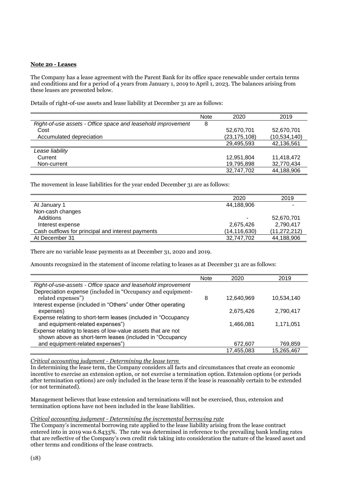# **Note 20 - Leases**

The Company has a lease agreement with the Parent Bank for its office space renewable under certain terms and conditions and for a period of 4 years from January 1, 2019 to April 1, 2023. The balances arising from these leases are presented below.

Details of right-of-use assets and lease liability at December 31 are as follows:

|                                                              | Note | 2020           | 2019           |
|--------------------------------------------------------------|------|----------------|----------------|
| Right-of-use assets - Office space and leasehold improvement | 8    |                |                |
| Cost                                                         |      | 52,670,701     | 52,670,701     |
| Accumulated depreciation                                     |      | (23, 175, 108) | (10, 534, 140) |
|                                                              |      | 29,495,593     | 42,136,561     |
| Lease liability                                              |      |                |                |
| Current                                                      |      | 12,951,804     | 11,418,472     |
| Non-current                                                  |      | 19,795,898     | 32,770,434     |
|                                                              |      | 32,747,702     | 44,188,906     |

The movement in lease liabilities for the year ended December 31 are as follows:

|                                                   | 2020         | 2019           |
|---------------------------------------------------|--------------|----------------|
| At January 1                                      | 44,188,906   |                |
| Non-cash changes                                  |              |                |
| Additions                                         |              | 52,670,701     |
| Interest expense                                  | 2,675,426    | 2,790,417      |
| Cash outflows for principal and interest payments | (14,116,630) | (11, 272, 212) |
| At December 31                                    | 32,747,702   | 44,188,906     |
|                                                   |              |                |

There are no variable lease payments as at December 31, 2020 and 2019.

Amounts recognized in the statement of income relating to leases as at December 31 are as follows:

|                                                               | <b>Note</b> | 2020       | 2019       |
|---------------------------------------------------------------|-------------|------------|------------|
| Right-of-use-assets - Office space and leasehold improvement  |             |            |            |
| Depreciation expense (included in "Occupancy and equipment-   |             |            |            |
| related expenses")                                            | 8           | 12,640,969 | 10,534,140 |
| Interest expense (included in "Others" under Other operating  |             |            |            |
| expenses)                                                     |             | 2,675,426  | 2,790,417  |
| Expense relating to short-term leases (included in "Occupancy |             |            |            |
| and equipment-related expenses")                              |             | 1,466,081  | 1,171,051  |
| Expense relating to leases of low-value assets that are not   |             |            |            |
| shown above as short-term leases (included in "Occupancy      |             |            |            |
| and equipment-related expenses")                              |             | 672,607    | 769,859    |
|                                                               |             | 17,455,083 | 15,265,467 |

*Critical accounting judgment - Determining the lease term*

In determining the lease term, the Company considers all facts and circumstances that create an economic incentive to exercise an extension option, or not exercise a termination option. Extension options (or periods after termination options) are only included in the lease term if the lease is reasonably certain to be extended (or not terminated).

Management believes that lease extension and terminations will not be exercised, thus, extension and termination options have not been included in the lease liabilities.

# *Critical accounting judgment - Determining the incremental borrowing rate*

The Company's incremental borrowing rate applied to the lease liability arising from the lease contract entered into in 2019 was 6.8433%. The rate was determined in reference to the prevailing bank lending rates that are reflective of the Company's own credit risk taking into consideration the nature of the leased asset and other terms and conditions of the lease contracts.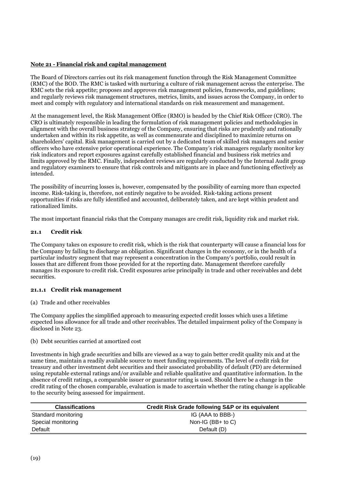# **Note 21 - Financial risk and capital management**

The Board of Directors carries out its risk management function through the Risk Management Committee (RMC) of the BOD. The RMC is tasked with nurturing a culture of risk management across the enterprise. The RMC sets the risk appetite; proposes and approves risk management policies, frameworks, and guidelines; and regularly reviews risk management structures, metrics, limits, and issues across the Company, in order to meet and comply with regulatory and international standards on risk measurement and management.

At the management level, the Risk Management Office (RMO) is headed by the Chief Risk Officer (CRO). The CRO is ultimately responsible in leading the formulation of risk management policies and methodologies in alignment with the overall business strategy of the Company, ensuring that risks are prudently and rationally undertaken and within its risk appetite, as well as commensurate and disciplined to maximize returns on shareholders' capital. Risk management is carried out by a dedicated team of skilled risk managers and senior officers who have extensive prior operational experience. The Company's risk managers regularly monitor key risk indicators and report exposures against carefully established financial and business risk metrics and limits approved by the RMC. Finally, independent reviews are regularly conducted by the Internal Audit group and regulatory examiners to ensure that risk controls and mitigants are in place and functioning effectively as intended.

The possibility of incurring losses is, however, compensated by the possibility of earning more than expected income. Risk-taking is, therefore, not entirely negative to be avoided. Risk-taking actions present opportunities if risks are fully identified and accounted, deliberately taken, and are kept within prudent and rationalized limits.

The most important financial risks that the Company manages are credit risk, liquidity risk and market risk.

# **21.1 Credit risk**

The Company takes on exposure to credit risk, which is the risk that counterparty will cause a financial loss for the Company by failing to discharge an obligation. Significant changes in the economy, or in the health of a particular industry segment that may represent a concentration in the Company's portfolio, could result in losses that are different from those provided for at the reporting date. Management therefore carefully manages its exposure to credit risk. Credit exposures arise principally in trade and other receivables and debt securities.

# **21.1.1 Credit risk management**

(a) Trade and other receivables

The Company applies the simplified approach to measuring expected credit losses which uses a lifetime expected loss allowance for all trade and other receivables. The detailed impairment policy of the Company is disclosed in Note 23.

(b) Debt securities carried at amortized cost

Investments in high grade securities and bills are viewed as a way to gain better credit quality mix and at the same time, maintain a readily available source to meet funding requirements. The level of credit risk for treasury and other investment debt securities and their associated probability of default (PD) are determined using reputable external ratings and/or available and reliable qualitative and quantitative information. In the absence of credit ratings, a comparable issuer or guarantor rating is used. Should there be a change in the credit rating of the chosen comparable, evaluation is made to ascertain whether the rating change is applicable to the security being assessed for impairment.

| <b>Classifications</b> | Credit Risk Grade following S&P or its equivalent |
|------------------------|---------------------------------------------------|
| Standard monitoring    | IG (AAA to BBB-)                                  |
| Special monitoring     | Non-IG $(BB+ to C)$                               |
| Default                | Default (D)                                       |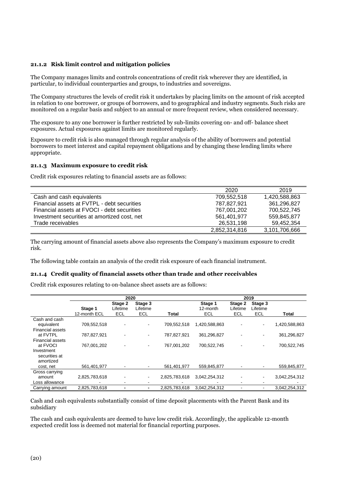#### **21.1.2 Risk limit control and mitigation policies**

The Company manages limits and controls concentrations of credit risk wherever they are identified, in particular, to individual counterparties and groups, to industries and sovereigns.

The Company structures the levels of credit risk it undertakes by placing limits on the amount of risk accepted in relation to one borrower, or groups of borrowers, and to geographical and industry segments. Such risks are monitored on a regular basis and subject to an annual or more frequent review, when considered necessary.

The exposure to any one borrower is further restricted by sub-limits covering on- and off- balance sheet exposures. Actual exposures against limits are monitored regularly.

Exposure to credit risk is also managed through regular analysis of the ability of borrowers and potential borrowers to meet interest and capital repayment obligations and by changing these lending limits where appropriate.

#### **21.1.3 Maximum exposure to credit risk**

Credit risk exposures relating to financial assets are as follows:

|                                              | 2020          | 2019          |
|----------------------------------------------|---------------|---------------|
| Cash and cash equivalents                    | 709.552.518   | 1,420,588,863 |
| Financial assets at FVTPL - debt securities  | 787,827,921   | 361,296,827   |
| Financial assets at FVOCI - debt securities  | 767.001.202   | 700.522.745   |
| Investment securities at amortized cost, net | 561,401,977   | 559,845,877   |
| Trade receivables                            | 26,531,198    | 59,452,354    |
|                                              | 2.852.314.816 | 3,101,706,666 |

The carrying amount of financial assets above also represents the Company's maximum exposure to credit risk.

The following table contain an analysis of the credit risk exposure of each financial instrument.

#### **21.1.4 Credit quality of financial assets other than trade and other receivables**

Credit risk exposures relating to on-balance sheet assets are as follows:

|                                                        | 2020                    |                                   |                                   |               | 2019                              |                            |                                   |               |
|--------------------------------------------------------|-------------------------|-----------------------------------|-----------------------------------|---------------|-----------------------------------|----------------------------|-----------------------------------|---------------|
|                                                        | Stage 1<br>12-month ECL | Stage 2<br>Lifetime<br><b>ECL</b> | Stage 3<br>Lifetime<br><b>ECL</b> | Total         | Stage 1<br>12-month<br><b>ECL</b> | Stage 2<br>Lifetime<br>ECL | Stage 3<br>Lifetime<br><b>ECL</b> | Total         |
| Cash and cash<br>equivalent<br><b>Financial assets</b> | 709,552,518             |                                   |                                   | 709,552,518   | 1,420,588,863                     |                            |                                   | 1,420,588,863 |
| at FVTPL<br><b>Financial assets</b>                    | 787,827,921             |                                   |                                   | 787,827,921   | 361,296,827                       |                            |                                   | 361,296,827   |
| at FVOCI<br>Investment                                 | 767,001,202             |                                   |                                   | 767,001,202   | 700,522,745                       |                            |                                   | 700,522,745   |
| securities at<br>amortized<br>cost, net                | 561,401,977             |                                   |                                   | 561,401,977   | 559,845,877                       |                            |                                   | 559,845,877   |
| Gross carrying<br>amount<br>Loss allowance             | 2,825,783,618           |                                   |                                   | 2,825,783,618 | 3,042,254,312                     |                            |                                   | 3,042,254,312 |
| Carrying amount                                        | 2,825,783,618           | -                                 |                                   | 2,825,783,618 | 3.042.254.312                     |                            |                                   | 3,042,254,312 |

Cash and cash equivalents substantially consist of time deposit placements with the Parent Bank and its subsidiary

The cash and cash equivalents are deemed to have low credit risk. Accordingly, the applicable 12-month expected credit loss is deemed not material for financial reporting purposes.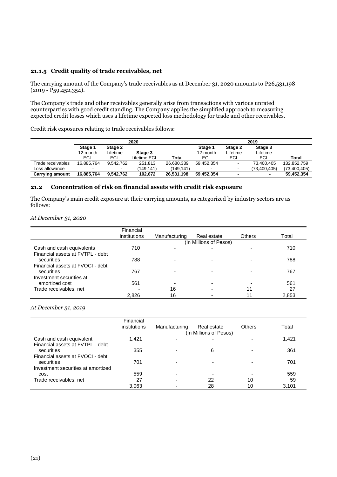#### **21.1.5 Credit quality of trade receivables, net**

The carrying amount of the Company's trade receivables as at December 31, 2020 amounts to P26,531,198  $(2019 - P_59, 452, 354).$ 

The Company's trade and other receivables generally arise from transactions with various unrated counterparties with good credit standing. The Company applies the simplified approach to measuring expected credit losses which uses a lifetime expected loss methodology for trade and other receivables.

Credit risk exposures relating to trade receivables follows:

|                   | 2020                     |           |              | 2019       |            |          |              |                |
|-------------------|--------------------------|-----------|--------------|------------|------------|----------|--------------|----------------|
|                   | Stage 1                  | Stage 2   |              |            | Stage 1    | Stage 2  | Stage 3      |                |
|                   | 12-month                 | Lifetime  | Stage 3      |            | 12-month   | Lifetime | Lifetime     |                |
|                   | ECL                      | ECL       | Lifetime ECL | Total      | ECL        | ECL      | ECL          | Total          |
| Trade receivables | 16.885.764               | 9,542,762 | 251,813      | 26,680,339 | 59,452,354 |          | 73,400,405   | 132,852,759    |
| Loss allowance    | $\overline{\phantom{0}}$ | $\sim$    | (149.141)    | (149.141)  |            |          | (73,400,405) | (73, 400, 405) |
| Carrying amount   | 16.885.764               | 9.542.762 | 102.672      | 26,531,198 | 59.452.354 |          | -            | 59.452.354     |

#### **21.2 Concentration of risk on financial assets with credit risk exposure**

The Company's main credit exposure at their carrying amounts, as categorized by industry sectors are as follows:

*At December 31, 2020*

|                                  | Financial    |               |                        |               |       |
|----------------------------------|--------------|---------------|------------------------|---------------|-------|
|                                  | institutions | Manufacturing | Real estate            | <b>Others</b> | Total |
|                                  |              |               | (In Millions of Pesos) |               |       |
| Cash and cash equivalents        | 710          |               | ۰                      |               | 710   |
| Financial assets at FVTPL - debt |              |               |                        |               |       |
| securities                       | 788          |               |                        |               | 788   |
| Financial assets at FVOCI - debt |              |               |                        |               |       |
| securities                       | 767          |               |                        |               | 767   |
| Investment securities at         |              |               |                        |               |       |
| amortized cost                   | 561          |               |                        |               | 561   |
| Trade receivables, net           |              | 16            |                        | 11            | 27    |
|                                  | 2,826        | 16            |                        |               | 2,853 |

*At December 31, 2019*

|                                    | Financial<br>institutions | Manufacturing | Real estate            | <b>Others</b> | Total |
|------------------------------------|---------------------------|---------------|------------------------|---------------|-------|
|                                    |                           |               | (In Millions of Pesos) |               |       |
| Cash and cash equivalent           | 1.421                     | -             | ۰                      |               | 1,421 |
| Financial assets at FVTPL - debt   |                           |               |                        |               |       |
| securities                         | 355                       |               | 6                      |               | 361   |
| Financial assets at FVOCI - debt   |                           |               |                        |               |       |
| securities                         | 701                       |               |                        |               | 701   |
| Investment securities at amortized |                           |               |                        |               |       |
| cost                               | 559                       | -             |                        |               | 559   |
| Trade receivables, net             | 27                        |               | 22                     | 10            | 59    |
|                                    | 3,063                     |               | 28                     | 10            | 3,101 |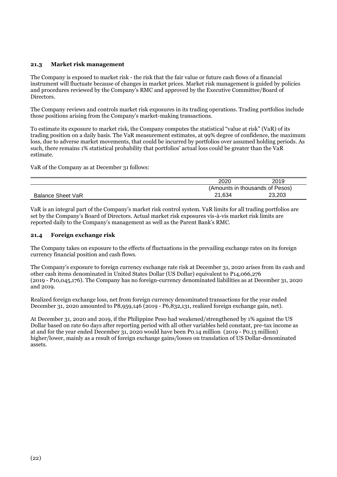# **21.3 Market risk management**

The Company is exposed to market risk - the risk that the fair value or future cash flows of a financial instrument will fluctuate because of changes in market prices. Market risk management is guided by policies and procedures reviewed by the Company's RMC and approved by the Executive Committee/Board of Directors.

The Company reviews and controls market risk exposures in its trading operations. Trading portfolios include those positions arising from the Company's market-making transactions.

To estimate its exposure to market risk, the Company computes the statistical "value at risk" (VaR) of its trading position on a daily basis. The VaR measurement estimates, at 99% degree of confidence, the maximum loss, due to adverse market movements, that could be incurred by portfolios over assumed holding periods. As such, there remains 1% statistical probability that portfolios' actual loss could be greater than the VaR estimate.

VaR of the Company as at December 31 follows:

|                   | 2020   | 2019                            |  |  |
|-------------------|--------|---------------------------------|--|--|
|                   |        | (Amounts in thousands of Pesos) |  |  |
| Balance Sheet VaR | 21,634 | 23,203                          |  |  |

VaR is an integral part of the Company's market risk control system. VaR limits for all trading portfolios are set by the Company's Board of Directors. Actual market risk exposures vis-à-vis market risk limits are reported daily to the Company's management as well as the Parent Bank's RMC.

#### **21.4 Foreign exchange risk**

The Company takes on exposure to the effects of fluctuations in the prevailing exchange rates on its foreign currency financial position and cash flows.

The Company's exposure to foreign currency exchange rate risk at December 31, 2020 arises from its cash and other cash items denominated in United States Dollar (US Dollar) equivalent to P14,066,276 (2019 - P10,045,176). The Company has no foreign-currency denominated liabilities as at December 31, 2020 and 2019.

Realized foreign exchange loss, net from foreign currency denominated transactions for the year ended December 31, 2020 amounted to P8,959,146 (2019 - P6,832,131, realized foreign exchange gain, net).

At December 31, 2020 and 2019, if the Philippine Peso had weakened/strengthened by 1% against the US Dollar based on rate 60 days after reporting period with all other variables held constant, pre-tax income as at and for the year ended December 31, 2020 would have been P0.14 million (2019 - P0.13 million) higher/lower, mainly as a result of foreign exchange gains/losses on translation of US Dollar-denominated assets.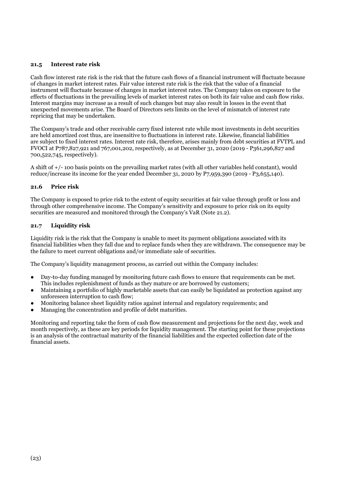# **21.5 Interest rate risk**

Cash flow interest rate risk is the risk that the future cash flows of a financial instrument will fluctuate because of changes in market interest rates. Fair value interest rate risk is the risk that the value of a financial instrument will fluctuate because of changes in market interest rates. The Company takes on exposure to the effects of fluctuations in the prevailing levels of market interest rates on both its fair value and cash flow risks. Interest margins may increase as a result of such changes but may also result in losses in the event that unexpected movements arise. The Board of Directors sets limits on the level of mismatch of interest rate repricing that may be undertaken.

The Company's trade and other receivable carry fixed interest rate while most investments in debt securities are held amortized cost thus, are insensitive to fluctuations in interest rate. Likewise, financial liabilities are subject to fixed interest rates. Interest rate risk, therefore, arises mainly from debt securities at FVTPL and FVOCI at P787,827,921 and 767,001,202, respectively, as at December 31, 2020 (2019 - P361,296,827 and 700,522,745, respectively).

A shift of +/- 100 basis points on the prevailing market rates (with all other variables held constant), would reduce/increase its income for the year ended December 31, 2020 by P7,959,390 (2019 - P3,655,140).

#### **21.6 Price risk**

The Company is exposed to price risk to the extent of equity securities at fair value through profit or loss and through other comprehensive income. The Company's sensitivity and exposure to price risk on its equity securities are measured and monitored through the Company's VaR (Note 21.2).

#### **21.7 Liquidity risk**

Liquidity risk is the risk that the Company is unable to meet its payment obligations associated with its financial liabilities when they fall due and to replace funds when they are withdrawn. The consequence may be the failure to meet current obligations and/or immediate sale of securities.

The Company's liquidity management process, as carried out within the Company includes:

- Day-to-day funding managed by monitoring future cash flows to ensure that requirements can be met. This includes replenishment of funds as they mature or are borrowed by customers;
- Maintaining a portfolio of highly marketable assets that can easily be liquidated as protection against any unforeseen interruption to cash flow;
- Monitoring balance sheet liquidity ratios against internal and regulatory requirements; and
- Managing the concentration and profile of debt maturities.

Monitoring and reporting take the form of cash flow measurement and projections for the next day, week and month respectively, as these are key periods for liquidity management. The starting point for these projections is an analysis of the contractual maturity of the financial liabilities and the expected collection date of the financial assets.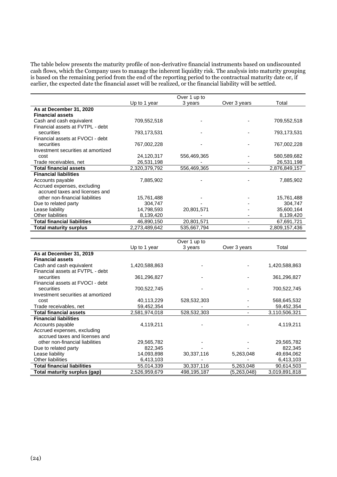The table below presents the maturity profile of non-derivative financial instruments based on undiscounted cash flows, which the Company uses to manage the inherent liquidity risk. The analysis into maturity grouping is based on the remaining period from the end of the reporting period to the contractual maturity date or, if earlier, the expected date the financial asset will be realized, or the financial liability will be settled.

|                                    | Over 1 up to  |             |              |               |  |  |
|------------------------------------|---------------|-------------|--------------|---------------|--|--|
|                                    | Up to 1 year  | 3 years     | Over 3 years | Total         |  |  |
| As at December 31, 2020            |               |             |              |               |  |  |
| <b>Financial assets</b>            |               |             |              |               |  |  |
| Cash and cash equivalent           | 709,552,518   |             |              | 709,552,518   |  |  |
| Financial assets at FVTPL - debt   |               |             |              |               |  |  |
| securities                         | 793,173,531   |             |              | 793,173,531   |  |  |
| Financial assets at FVOCI - debt   |               |             |              |               |  |  |
| securities                         | 767,002,228   |             |              | 767,002,228   |  |  |
| Investment securities at amortized |               |             |              |               |  |  |
| cost                               | 24,120,317    | 556,469,365 |              | 580,589,682   |  |  |
| Trade receivables, net             | 26,531,198    |             |              | 26,531,198    |  |  |
| <b>Total financial assets</b>      | 2,320,379,792 | 556,469,365 |              | 2,876,849,157 |  |  |
| <b>Financial liabilities</b>       |               |             |              |               |  |  |
| Accounts payable                   | 7,885,902     |             |              | 7,885,902     |  |  |
| Accrued expenses, excluding        |               |             |              |               |  |  |
| accrued taxes and licenses and     |               |             |              |               |  |  |
| other non-financial liabilities    | 15,761,488    |             |              | 15,761,488    |  |  |
| Due to related party               | 304,747       |             |              | 304,747       |  |  |
| Lease liability                    | 14,798,593    | 20,801,571  |              | 35,600,164    |  |  |
| Other liabilities                  | 8,139,420     |             |              | 8,139,420     |  |  |
| <b>Total financial liabilities</b> | 46,890,150    | 20,801,571  |              | 67,691,721    |  |  |
| <b>Total maturity surplus</b>      | 2,273,489,642 | 535,667,794 |              | 2,809,157,436 |  |  |

|                                     | Over 1 up to  |             |              |               |  |  |  |
|-------------------------------------|---------------|-------------|--------------|---------------|--|--|--|
|                                     | Up to 1 year  | 3 years     | Over 3 years | Total         |  |  |  |
| As at December 31, 2019             |               |             |              |               |  |  |  |
| <b>Financial assets</b>             |               |             |              |               |  |  |  |
| Cash and cash equivalent            | 1,420,588,863 |             |              | 1,420,588,863 |  |  |  |
| Financial assets at FVTPL - debt    |               |             |              |               |  |  |  |
| securities                          | 361,296,827   |             |              | 361,296,827   |  |  |  |
| Financial assets at FVOCI - debt    |               |             |              |               |  |  |  |
| securities                          | 700,522,745   |             |              | 700,522,745   |  |  |  |
| Investment securities at amortized  |               |             |              |               |  |  |  |
| cost                                | 40,113,229    | 528,532,303 |              | 568,645,532   |  |  |  |
| Trade receivables, net              | 59,452,354    |             |              | 59,452,354    |  |  |  |
| <b>Total financial assets</b>       | 2,581,974,018 | 528,532,303 |              | 3,110,506,321 |  |  |  |
| <b>Financial liabilities</b>        |               |             |              |               |  |  |  |
| Accounts payable                    | 4,119,211     |             |              | 4,119,211     |  |  |  |
| Accrued expenses, excluding         |               |             |              |               |  |  |  |
| accrued taxes and licenses and      |               |             |              |               |  |  |  |
| other non-financial liabilities     | 29,565,782    |             |              | 29,565,782    |  |  |  |
| Due to related party                | 822,345       |             |              | 822,345       |  |  |  |
| Lease liability                     | 14,093,898    | 30,337,116  | 5,263,048    | 49,694,062    |  |  |  |
| Other liabilities                   | 6,413,103     |             |              | 6,413,103     |  |  |  |
| <b>Total financial liabilities</b>  | 55,014,339    | 30,337,116  | 5,263,048    | 90,614,503    |  |  |  |
| <b>Total maturity surplus (gap)</b> | 2,526,959,679 | 498,195,187 | (5,263,048)  | 3,019,891,818 |  |  |  |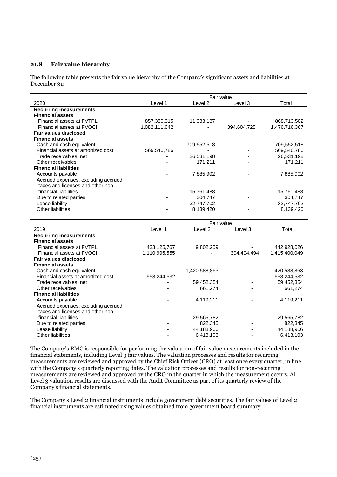# **21.8 Fair value hierarchy**

The following table presents the fair value hierarchy of the Company's significant assets and liabilities at December 31:

|                                     | Fair value    |             |             |               |  |  |
|-------------------------------------|---------------|-------------|-------------|---------------|--|--|
| 2020                                | Level 1       | Level 2     | Level 3     | Total         |  |  |
| <b>Recurring measurements</b>       |               |             |             |               |  |  |
| <b>Financial assets</b>             |               |             |             |               |  |  |
| Financial assets at FVTPL           | 857,380,315   | 11,333,187  |             | 868,713,502   |  |  |
| Financial assets at FVOCI           | 1,082,111,642 |             | 394,604,725 | 1,476,716,367 |  |  |
| Fair values disclosed               |               |             |             |               |  |  |
| <b>Financial assets</b>             |               |             |             |               |  |  |
| Cash and cash equivalent            |               | 709,552,518 |             | 709,552,518   |  |  |
| Financial assets at amortized cost  | 569,540,786   |             |             | 569,540,786   |  |  |
| Trade receivables, net              |               | 26,531,198  |             | 26,531,198    |  |  |
| Other receivables                   |               | 171.211     |             | 171.211       |  |  |
| <b>Financial liabilities</b>        |               |             |             |               |  |  |
| Accounts payable                    |               | 7,885,902   |             | 7,885,902     |  |  |
| Accrued expenses, excluding accrued |               |             |             |               |  |  |
| taxes and licenses and other non-   |               |             |             |               |  |  |
| financial liabilities               |               | 15,761,488  |             | 15,761,488    |  |  |
| Due to related parties              |               | 304,747     |             | 304,747       |  |  |
| Lease liability                     |               | 32,747,702  |             | 32,747,702    |  |  |
| <b>Other liabilities</b>            |               | 8,139,420   |             | 8,139,420     |  |  |
|                                     |               |             |             |               |  |  |

|                                     | Fair value    |               |             |               |  |  |  |
|-------------------------------------|---------------|---------------|-------------|---------------|--|--|--|
| 2019                                | Level 1       | Level 2       | Level 3     | Total         |  |  |  |
| <b>Recurring measurements</b>       |               |               |             |               |  |  |  |
| <b>Financial assets</b>             |               |               |             |               |  |  |  |
| Financial assets at FVTPL           | 433,125,767   | 9,802,259     |             | 442,928,026   |  |  |  |
| Financial assets at FVOCI           | 1,110,995,555 |               | 304,404,494 | 1,415,400,049 |  |  |  |
| Fair values disclosed               |               |               |             |               |  |  |  |
| <b>Financial assets</b>             |               |               |             |               |  |  |  |
| Cash and cash equivalent            |               | 1,420,588,863 |             | 1,420,588,863 |  |  |  |
| Financial assets at amortized cost  | 558,244,532   |               |             | 558,244,532   |  |  |  |
| Trade receivables, net              |               | 59,452,354    |             | 59,452,354    |  |  |  |
| Other receivables                   |               | 661,274       |             | 661,274       |  |  |  |
| <b>Financial liabilities</b>        |               |               |             |               |  |  |  |
| Accounts payable                    |               | 4,119,211     |             | 4,119,211     |  |  |  |
| Accrued expenses, excluding accrued |               |               |             |               |  |  |  |
| taxes and licenses and other non-   |               |               |             |               |  |  |  |
| financial liabilities               |               | 29,565,782    |             | 29,565,782    |  |  |  |
| Due to related parties              |               | 822,345       |             | 822,345       |  |  |  |
| Lease liability                     |               | 44,188,906    |             | 44,188,906    |  |  |  |
| <b>Other liabilities</b>            |               | 6,413,103     |             | 6,413,103     |  |  |  |

The Company's RMC is responsible for performing the valuation of fair value measurements included in the financial statements, including Level 3 fair values. The valuation processes and results for recurring measurements are reviewed and approved by the Chief Risk Officer (CRO) at least once every quarter, in line with the Company's quarterly reporting dates. The valuation processes and results for non-recurring measurements are reviewed and approved by the CRO in the quarter in which the measurement occurs. All Level 3 valuation results are discussed with the Audit Committee as part of its quarterly review of the Company's financial statements.

The Company's Level 2 financial instruments include government debt securities. The fair values of Level 2 financial instruments are estimated using values obtained from government board summary.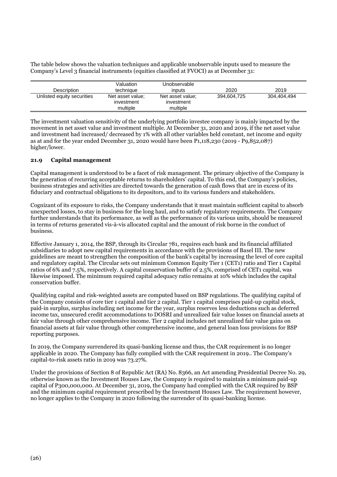The table below shows the valuation techniques and applicable unobservable inputs used to measure the Company's Level 3 financial instruments (equities classified at FVOCI) as at December 31:

| Description                | Valuation<br>technique                     | Unobservable<br>inputs                     | 2020        | 2019        |
|----------------------------|--------------------------------------------|--------------------------------------------|-------------|-------------|
| Unlisted equity securities | Net asset value:<br>investment<br>multiple | Net asset value;<br>investment<br>multiple | 394.604.725 | 304.404.494 |

The investment valuation sensitivity of the underlying portfolio investee company is mainly impacted by the movement in net asset value and investment multiple. At December 31, 2020 and 2019, if the net asset value and investment had increased/ decreased by 1% with all other variables held constant, net income and equity as at and for the year ended December 31, 2020 would have been P1,118,230 (2019 - P9,852,087) higher/lower.

# **21.9 Capital management**

Capital management is understood to be a facet of risk management. The primary objective of the Company is the generation of recurring acceptable returns to shareholders' capital. To this end, the Company's policies, business strategies and activities are directed towards the generation of cash flows that are in excess of its fiduciary and contractual obligations to its depositors, and to its various funders and stakeholders.

Cognizant of its exposure to risks, the Company understands that it must maintain sufficient capital to absorb unexpected losses, to stay in business for the long haul, and to satisfy regulatory requirements. The Company further understands that its performance, as well as the performance of its various units, should be measured in terms of returns generated vis-à-vis allocated capital and the amount of risk borne in the conduct of business.

Effective January 1, 2014, the BSP, through its Circular 781, requires each bank and its financial affiliated subsidiaries to adopt new capital requirements in accordance with the provisions of Basel III. The new guidelines are meant to strengthen the composition of the bank's capital by increasing the level of core capital and regulatory capital. The Circular sets out minimum Common Equity Tier 1 (CET1) ratio and Tier 1 Capital ratios of 6% and 7.5%, respectively. A capital conservation buffer of 2.5%, comprised of CET1 capital, was likewise imposed. The minimum required capital adequacy ratio remains at 10% which includes the capital conservation buffer.

Qualifying capital and risk-weighted assets are computed based on BSP regulations. The qualifying capital of the Company consists of core tier 1 capital and tier 2 capital. Tier 1 capital comprises paid-up capital stock, paid-in surplus, surplus including net income for the year, surplus reserves less deductions such as deferred income tax, unsecured credit accommodations to DOSRI and unrealized fair value losses on financial assets at fair value through other comprehensive income. Tier 2 capital includes net unrealized fair value gains on financial assets at fair value through other comprehensive income, and general loan loss provisions for BSP reporting purposes.

In 2019, the Company surrendered its quasi-banking license and thus, the CAR requirement is no longer applicable in 2020. The Company has fully complied with the CAR requirement in 2019.. The Company's capital-to-risk assets ratio in 2019 was 73.27%.

Under the provisions of Section 8 of Republic Act (RA) No. 8366, an Act amending Presidential Decree No. 29, otherwise known as the Investment Houses Law, the Company is required to maintain a minimum paid-up capital of P300,000,000. At December 31, 2019, the Company had complied with the CAR required by BSP and the minimum capital requirement prescribed by the Investment Houses Law. The requirement however, no longer applies to the Company in 2020 following the surrender of its quasi-banking license.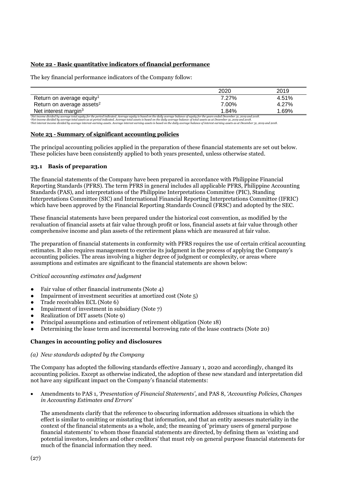# **Note 22 - Basic quantitative indicators of financial performance**

The key financial performance indicators of the Company follow:

|                                       | 2020  | 2019  |
|---------------------------------------|-------|-------|
| Return on average equity <sup>1</sup> | 7.27% | 4.51% |
| Return on average assets <sup>2</sup> | 7.00% | 4.27% |
| Net interest margin <sup>3</sup>      | 1.84% | 1.69% |

'Net income divided by average total equity for the period indicated. Average equity is based on the daily average balance of equity for the years ended December 31, 2019 and 2018.<br>"Net income divided by average total asse

#### **Note 23 - Summary of significant accounting policies**

The principal accounting policies applied in the preparation of these financial statements are set out below. These policies have been consistently applied to both years presented, unless otherwise stated.

# **23.1 Basis of preparation**

The financial statements of the Company have been prepared in accordance with Philippine Financial Reporting Standards (PFRS). The term PFRS in general includes all applicable PFRS, Philippine Accounting Standards (PAS), and interpretations of the Philippine Interpretations Committee (PIC), Standing Interpretations Committee (SIC) and International Financial Reporting Interpretations Committee (IFRIC) which have been approved by the Financial Reporting Standards Council (FRSC) and adopted by the SEC.

These financial statements have been prepared under the historical cost convention, as modified by the revaluation of financial assets at fair value through profit or loss, financial assets at fair value through other comprehensive income and plan assets of the retirement plans which are measured at fair value.

The preparation of financial statements in conformity with PFRS requires the use of certain critical accounting estimates. It also requires management to exercise its judgment in the process of applying the Company's accounting policies. The areas involving a higher degree of judgment or complexity, or areas where assumptions and estimates are significant to the financial statements are shown below:

# *Critical accounting estimates and judgment*

- Fair value of other financial instruments (Note  $4$ )
- Impairment of investment securities at amortized cost (Note 5)
- Trade receivables ECL (Note 6)
- Impairment of investment in subsidiary (Note  $7$ )
- Realization of DIT assets (Note 9)
- Principal assumptions and estimation of retirement obligation (Note 18)
- Determining the lease term and incremental borrowing rate of the lease contracts (Note 20)

# **Changes in accounting policy and disclosures**

# *(a) New standards adopted by the Company*

The Company has adopted the following standards effective January 1, 2020 and accordingly, changed its accounting policies. Except as otherwise indicated, the adoption of these new standard and interpretation did not have any significant impact on the Company's financial statements:

• Amendments to PAS 1, *'Presentation of Financial Statements'*, and PAS 8, *'Accounting Policies, Changes in Accounting Estimates and Errors'*

The amendments clarify that the reference to obscuring information addresses situations in which the effect is similar to omitting or misstating that information, and that an entity assesses materiality in the context of the financial statements as a whole, and; the meaning of 'primary users of general purpose financial statements' to whom those financial statements are directed, by defining them as 'existing and potential investors, lenders and other creditors' that must rely on general purpose financial statements for much of the financial information they need.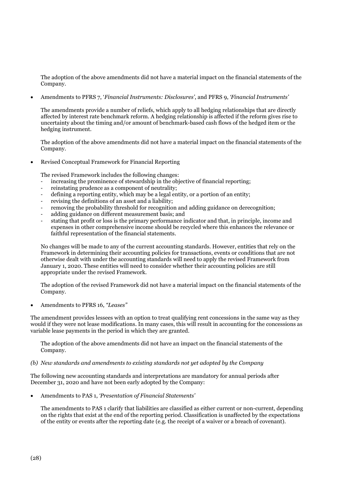The adoption of the above amendments did not have a material impact on the financial statements of the Company.

• Amendments to PFRS 7, '*Financial Instruments: Disclosures'*, and PFRS 9, *'Financial Instruments'*

The amendments provide a number of reliefs, which apply to all hedging relationships that are directly affected by interest rate benchmark reform. A hedging relationship is affected if the reform gives rise to uncertainty about the timing and/or amount of benchmark-based cash flows of the hedged item or the hedging instrument.

The adoption of the above amendments did not have a material impact on the financial statements of the Company.

• Revised Conceptual Framework for Financial Reporting

The revised Framework includes the following changes:

- increasing the prominence of stewardship in the objective of financial reporting;
- reinstating prudence as a component of neutrality;
- defining a reporting entity, which may be a legal entity, or a portion of an entity;
- revising the definitions of an asset and a liability;
- removing the probability threshold for recognition and adding guidance on derecognition;
- adding guidance on different measurement basis; and
- stating that profit or loss is the primary performance indicator and that, in principle, income and expenses in other comprehensive income should be recycled where this enhances the relevance or faithful representation of the financial statements.

No changes will be made to any of the current accounting standards. However, entities that rely on the Framework in determining their accounting policies for transactions, events or conditions that are not otherwise dealt with under the accounting standards will need to apply the revised Framework from January 1, 2020. These entities will need to consider whether their accounting policies are still appropriate under the revised Framework.

The adoption of the revised Framework did not have a material impact on the financial statements of the Company.

• Amendments to PFRS 16, *"Leases"*

The amendment provides lessees with an option to treat qualifying rent concessions in the same way as they would if they were not lease modifications. In many cases, this will result in accounting for the concessions as variable lease payments in the period in which they are granted.

The adoption of the above amendments did not have an impact on the financial statements of the Company.

#### *(b) New standards and amendments to existing standards not yet adopted by the Company*

The following new accounting standards and interpretations are mandatory for annual periods after December 31, 2020 and have not been early adopted by the Company:

• Amendments to PAS 1, *'Presentation of Financial Statements'*

The amendments to PAS 1 clarify that liabilities are classified as either current or non-current, depending on the rights that exist at the end of the reporting period. Classification is unaffected by the expectations of the entity or events after the reporting date (e.g. the receipt of a waiver or a breach of covenant).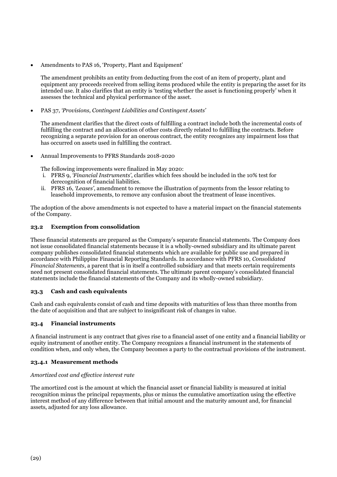• Amendments to PAS 16, 'Property, Plant and Equipment'

The amendment prohibits an entity from deducting from the cost of an item of property, plant and equipment any proceeds received from selling items produced while the entity is preparing the asset for its intended use. It also clarifies that an entity is 'testing whether the asset is functioning properly' when it assesses the technical and physical performance of the asset.

• PAS 37, *'Provisions, Contingent Liabilities and Contingent Assets'*

The amendment clarifies that the direct costs of fulfilling a contract include both the incremental costs of fulfilling the contract and an allocation of other costs directly related to fulfilling the contracts. Before recognizing a separate provision for an onerous contract, the entity recognizes any impairment loss that has occurred on assets used in fulfilling the contract.

• Annual Improvements to PFRS Standards 2018-2020

The following improvements were finalized in May 2020:

- i. PFRS 9, *'Financial Instruments'*, clarifies which fees should be included in the 10% test for derecognition of financial liabilities.
- ii. PFRS 16, *'Leases'*, amendment to remove the illustration of payments from the lessor relating to leasehold improvements, to remove any confusion about the treatment of lease incentives.

The adoption of the above amendments is not expected to have a material impact on the financial statements of the Company.

# **23.2 Exemption from consolidation**

These financial statements are prepared as the Company's separate financial statements. The Company does not issue consolidated financial statements because it is a wholly-owned subsidiary and its ultimate parent company publishes consolidated financial statements which are available for public use and prepared in accordance with Philippine Financial Reporting Standards. In accordance with PFRS 10, *Consolidated Financial Statements*, a parent that is in itself a controlled subsidiary and that meets certain requirements need not present consolidated financial statements. The ultimate parent company's consolidated financial statements include the financial statements of the Company and its wholly-owned subsidiary.

# **23.3 Cash and cash equivalents**

Cash and cash equivalents consist of cash and time deposits with maturities of less than three months from the date of acquisition and that are subject to insignificant risk of changes in value.

# **23.4 Financial instruments**

A financial instrument is any contract that gives rise to a financial asset of one entity and a financial liability or equity instrument of another entity. The Company recognizes a financial instrument in the statements of condition when, and only when, the Company becomes a party to the contractual provisions of the instrument.

# **23.4.1 Measurement methods**

# *Amortized cost and effective interest rate*

The amortized cost is the amount at which the financial asset or financial liability is measured at initial recognition minus the principal repayments, plus or minus the cumulative amortization using the effective interest method of any difference between that initial amount and the maturity amount and, for financial assets, adjusted for any loss allowance.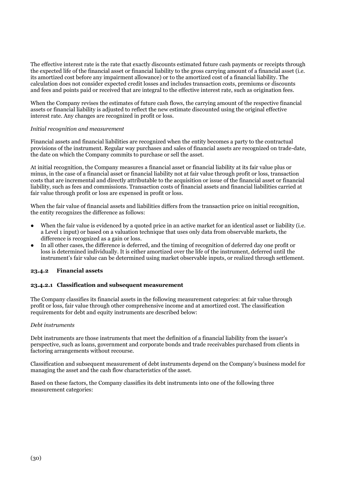The effective interest rate is the rate that exactly discounts estimated future cash payments or receipts through the expected life of the financial asset or financial liability to the gross carrying amount of a financial asset (i.e. its amortized cost before any impairment allowance) or to the amortized cost of a financial liability. The calculation does not consider expected credit losses and includes transaction costs, premiums or discounts and fees and points paid or received that are integral to the effective interest rate, such as origination fees.

When the Company revises the estimates of future cash flows, the carrying amount of the respective financial assets or financial liability is adjusted to reflect the new estimate discounted using the original effective interest rate. Any changes are recognized in profit or loss.

#### *Initial recognition and measurement*

Financial assets and financial liabilities are recognized when the entity becomes a party to the contractual provisions of the instrument. Regular way purchases and sales of financial assets are recognized on trade-date, the date on which the Company commits to purchase or sell the asset.

At initial recognition, the Company measures a financial asset or financial liability at its fair value plus or minus, in the case of a financial asset or financial liability not at fair value through profit or loss, transaction costs that are incremental and directly attributable to the acquisition or issue of the financial asset or financial liability, such as fees and commissions. Transaction costs of financial assets and financial liabilities carried at fair value through profit or loss are expensed in profit or loss.

When the fair value of financial assets and liabilities differs from the transaction price on initial recognition, the entity recognizes the difference as follows:

- When the fair value is evidenced by a quoted price in an active market for an identical asset or liability (i.e. a Level 1 input) or based on a valuation technique that uses only data from observable markets, the difference is recognized as a gain or loss.
- In all other cases, the difference is deferred, and the timing of recognition of deferred day one profit or loss is determined individually. It is either amortized over the life of the instrument, deferred until the instrument's fair value can be determined using market observable inputs, or realized through settlement.

# **23.4.2 Financial assets**

# **23.4.2.1 Classification and subsequent measurement**

The Company classifies its financial assets in the following measurement categories: at fair value through profit or loss, fair value through other comprehensive income and at amortized cost. The classification requirements for debt and equity instruments are described below:

#### *Debt instruments*

Debt instruments are those instruments that meet the definition of a financial liability from the issuer's perspective, such as loans, government and corporate bonds and trade receivables purchased from clients in factoring arrangements without recourse.

Classification and subsequent measurement of debt instruments depend on the Company's business model for managing the asset and the cash flow characteristics of the asset.

Based on these factors, the Company classifies its debt instruments into one of the following three measurement categories: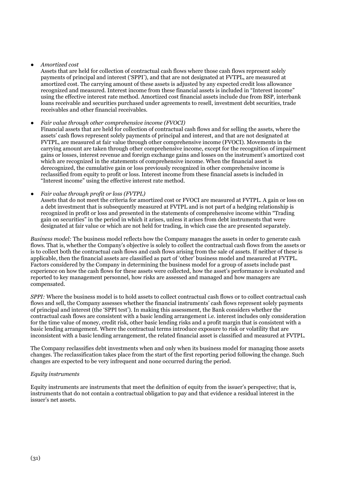#### ● *Amortized cost*

Assets that are held for collection of contractual cash flows where those cash flows represent solely payments of principal and interest ('SPPI'), and that are not designated at FVTPL, are measured at amortized cost. The carrying amount of these assets is adjusted by any expected credit loss allowance recognized and measured. Interest income from these financial assets is included in "Interest income" using the effective interest rate method. Amortized cost financial assets include due from BSP, interbank loans receivable and securities purchased under agreements to resell, investment debt securities, trade receivables and other financial receivables.

#### ● *Fair value through other comprehensive income (FVOCI)*

Financial assets that are held for collection of contractual cash flows and for selling the assets, where the assets' cash flows represent solely payments of principal and interest, and that are not designated at FVTPL, are measured at fair value through other comprehensive income (FVOCI). Movements in the carrying amount are taken through other comprehensive income, except for the recognition of impairment gains or losses, interest revenue and foreign exchange gains and losses on the instrument's amortized cost which are recognized in the statements of comprehensive income. When the financial asset is derecognized, the cumulative gain or loss previously recognized in other comprehensive income is reclassified from equity to profit or loss. Interest income from these financial assets is included in "Interest income" using the effective interest rate method.

#### ● *Fair value through profit or loss (FVTPL)*

Assets that do not meet the criteria for amortized cost or FVOCI are measured at FVTPL. A gain or loss on a debt investment that is subsequently measured at FVTPL and is not part of a hedging relationship is recognized in profit or loss and presented in the statements of comprehensive income within "Trading gain on securities" in the period in which it arises, unless it arises from debt instruments that were designated at fair value or which are not held for trading, in which case the are presented separately.

*Business model:* The business model reflects how the Company manages the assets in order to generate cash flows. That is, whether the Company's objective is solely to collect the contractual cash flows from the assets or is to collect both the contractual cash flows and cash flows arising from the sale of assets. If neither of these is applicable, then the financial assets are classified as part of 'other' business model and measured at FVTPL. Factors considered by the Company in determining the business model for a group of assets include past experience on how the cash flows for these assets were collected, how the asset's performance is evaluated and reported to key management personnel, how risks are assessed and managed and how managers are compensated.

*SPPI:* Where the business model is to hold assets to collect contractual cash flows or to collect contractual cash flows and sell, the Company assesses whether the financial instruments' cash flows represent solely payments of principal and interest (the 'SPPI test'). In making this assessment, the Bank considers whether the contractual cash flows are consistent with a basic lending arrangement i.e. interest includes only consideration for the time value of money, credit risk, other basic lending risks and a profit margin that is consistent with a basic lending arrangement. Where the contractual terms introduce exposure to risk or volatility that are inconsistent with a basic lending arrangement, the related financial asset is classified and measured at FVTPL.

The Company reclassifies debt investments when and only when its business model for managing those assets changes. The reclassification takes place from the start of the first reporting period following the change. Such changes are expected to be very infrequent and none occurred during the period.

# *Equity instruments*

Equity instruments are instruments that meet the definition of equity from the issuer's perspective; that is, instruments that do not contain a contractual obligation to pay and that evidence a residual interest in the issuer's net assets.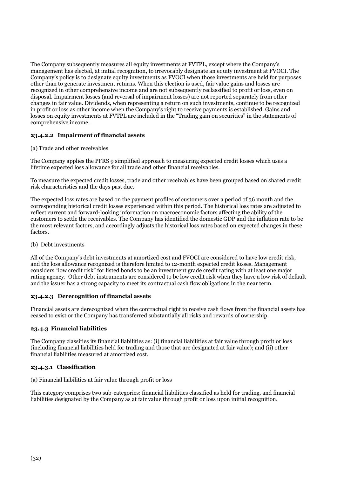The Company subsequently measures all equity investments at FVTPL, except where the Company's management has elected, at initial recognition, to irrevocably designate an equity investment at FVOCI. The Company's policy is to designate equity investments as FVOCI when those investments are held for purposes other than to generate investment returns. When this election is used, fair value gains and losses are recognized in other comprehensive income and are not subsequently reclassified to profit or loss, even on disposal. Impairment losses (and reversal of impairment losses) are not reported separately from other changes in fair value. Dividends, when representing a return on such investments, continue to be recognized in profit or loss as other income when the Company's right to receive payments is established. Gains and losses on equity investments at FVTPL are included in the "Trading gain on securities" in the statements of comprehensive income.

# **23.4.2.2 Impairment of financial assets**

(a) Trade and other receivables

The Company applies the PFRS 9 simplified approach to measuring expected credit losses which uses a lifetime expected loss allowance for all trade and other financial receivables.

To measure the expected credit losses, trade and other receivables have been grouped based on shared credit risk characteristics and the days past due.

The expected loss rates are based on the payment profiles of customers over a period of 36 month and the corresponding historical credit losses experienced within this period. The historical loss rates are adjusted to reflect current and forward-looking information on macroeconomic factors affecting the ability of the customers to settle the receivables. The Company has identified the domestic GDP and the inflation rate to be the most relevant factors, and accordingly adjusts the historical loss rates based on expected changes in these factors.

(b) Debt investments

All of the Company's debt investments at amortized cost and FVOCI are considered to have low credit risk, and the loss allowance recognized is therefore limited to 12-month expected credit losses. Management considers "low credit risk" for listed bonds to be an investment grade credit rating with at least one major rating agency. Other debt instruments are considered to be low credit risk when they have a low risk of default and the issuer has a strong capacity to meet its contractual cash flow obligations in the near term.

# **23.4.2.3 Derecognition of financial assets**

Financial assets are derecognized when the contractual right to receive cash flows from the financial assets has ceased to exist or the Company has transferred substantially all risks and rewards of ownership.

# **23.4.3 Financial liabilities**

The Company classifies its financial liabilities as: (i) financial liabilities at fair value through profit or loss (including financial liabilities held for trading and those that are designated at fair value); and (ii) other financial liabilities measured at amortized cost.

# **23.4.3.1 Classification**

(a) Financial liabilities at fair value through profit or loss

This category comprises two sub-categories: financial liabilities classified as held for trading, and financial liabilities designated by the Company as at fair value through profit or loss upon initial recognition.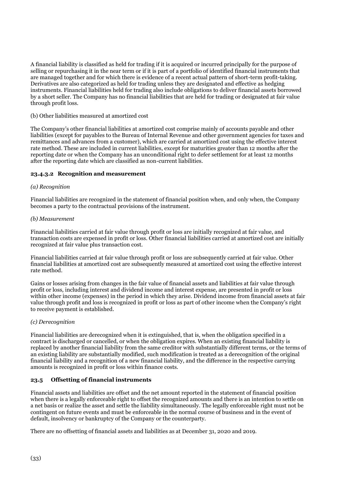A financial liability is classified as held for trading if it is acquired or incurred principally for the purpose of selling or repurchasing it in the near term or if it is part of a portfolio of identified financial instruments that are managed together and for which there is evidence of a recent actual pattern of short-term profit-taking. Derivatives are also categorized as held for trading unless they are designated and effective as hedging instruments. Financial liabilities held for trading also include obligations to deliver financial assets borrowed by a short seller. The Company has no financial liabilities that are held for trading or designated at fair value through profit loss.

#### (b) Other liabilities measured at amortized cost

The Company's other financial liabilities at amortized cost comprise mainly of accounts payable and other liabilities (except for payables to the Bureau of Internal Revenue and other government agencies for taxes and remittances and advances from a customer), which are carried at amortized cost using the effective interest rate method. These are included in current liabilities, except for maturities greater than 12 months after the reporting date or when the Company has an unconditional right to defer settlement for at least 12 months after the reporting date which are classified as non-current liabilities.

#### **23.4.3.2 Recognition and measurement**

#### *(a) Recognition*

Financial liabilities are recognized in the statement of financial position when, and only when, the Company becomes a party to the contractual provisions of the instrument.

#### *(b) Measurement*

Financial liabilities carried at fair value through profit or loss are initially recognized at fair value, and transaction costs are expensed in profit or loss. Other financial liabilities carried at amortized cost are initially recognized at fair value plus transaction cost.

Financial liabilities carried at fair value through profit or loss are subsequently carried at fair value. Other financial liabilities at amortized cost are subsequently measured at amortized cost using the effective interest rate method.

Gains or losses arising from changes in the fair value of financial assets and liabilities at fair value through profit or loss, including interest and dividend income and interest expense, are presented in profit or loss within other income (expenses) in the period in which they arise. Dividend income from financial assets at fair value through profit and loss is recognized in profit or loss as part of other income when the Company's right to receive payment is established.

#### *(c) Derecognition*

Financial liabilities are derecognized when it is extinguished, that is, when the obligation specified in a contract is discharged or cancelled, or when the obligation expires. When an existing financial liability is replaced by another financial liability from the same creditor with substantially different terms, or the terms of an existing liability are substantially modified, such modification is treated as a derecognition of the original financial liability and a recognition of a new financial liability, and the difference in the respective carrying amounts is recognized in profit or loss within finance costs.

# **23.5 Offsetting of financial instruments**

Financial assets and liabilities are offset and the net amount reported in the statement of financial position when there is a legally enforceable right to offset the recognized amounts and there is an intention to settle on a net basis or realize the asset and settle the liability simultaneously. The legally enforceable right must not be contingent on future events and must be enforceable in the normal course of business and in the event of default, insolvency or bankruptcy of the Company or the counterparty.

There are no offsetting of financial assets and liabilities as at December 31, 2020 and 2019.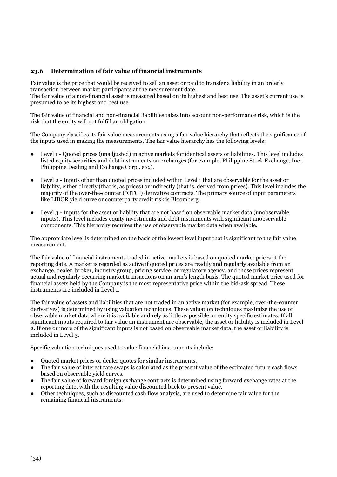# **23.6 Determination of fair value of financial instruments**

Fair value is the price that would be received to sell an asset or paid to transfer a liability in an orderly transaction between market participants at the measurement date. The fair value of a non-financial asset is measured based on its highest and best use. The asset's current use is presumed to be its highest and best use.

The fair value of financial and non-financial liabilities takes into account non-performance risk, which is the risk that the entity will not fulfill an obligation.

The Company classifies its fair value measurements using a fair value hierarchy that reflects the significance of the inputs used in making the measurements. The fair value hierarchy has the following levels:

- Level 1 Quoted prices (unadjusted) in active markets for identical assets or liabilities. This level includes listed equity securities and debt instruments on exchanges (for example, Philippine Stock Exchange, Inc., Philippine Dealing and Exchange Corp., etc.).
- Level 2 Inputs other than quoted prices included within Level 1 that are observable for the asset or liability, either directly (that is, as prices) or indirectly (that is, derived from prices). This level includes the majority of the over-the-counter ("OTC") derivative contracts. The primary source of input parameters like LIBOR yield curve or counterparty credit risk is Bloomberg.
- Level 3 Inputs for the asset or liability that are not based on observable market data (unobservable inputs). This level includes equity investments and debt instruments with significant unobservable components. This hierarchy requires the use of observable market data when available.

The appropriate level is determined on the basis of the lowest level input that is significant to the fair value measurement.

The fair value of financial instruments traded in active markets is based on quoted market prices at the reporting date. A market is regarded as active if quoted prices are readily and regularly available from an exchange, dealer, broker, industry group, pricing service, or regulatory agency, and those prices represent actual and regularly occurring market transactions on an arm's length basis. The quoted market price used for financial assets held by the Company is the most representative price within the bid-ask spread. These instruments are included in Level 1.

The fair value of assets and liabilities that are not traded in an active market (for example, over-the-counter derivatives) is determined by using valuation techniques. These valuation techniques maximize the use of observable market data where it is available and rely as little as possible on entity specific estimates. If all significant inputs required to fair value an instrument are observable, the asset or liability is included in Level 2. If one or more of the significant inputs is not based on observable market data, the asset or liability is included in Level 3.

Specific valuation techniques used to value financial instruments include:

- Quoted market prices or dealer quotes for similar instruments.
- The fair value of interest rate swaps is calculated as the present value of the estimated future cash flows based on observable yield curves.
- The fair value of forward foreign exchange contracts is determined using forward exchange rates at the reporting date, with the resulting value discounted back to present value.
- Other techniques, such as discounted cash flow analysis, are used to determine fair value for the remaining financial instruments.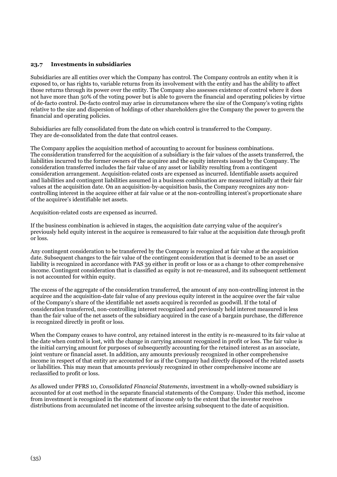#### **23.7 Investments in subsidiaries**

Subsidiaries are all entities over which the Company has control. The Company controls an entity when it is exposed to, or has rights to, variable returns from its involvement with the entity and has the ability to affect those returns through its power over the entity. The Company also assesses existence of control where it does not have more than 50% of the voting power but is able to govern the financial and operating policies by virtue of de-facto control. De-facto control may arise in circumstances where the size of the Company's voting rights relative to the size and dispersion of holdings of other shareholders give the Company the power to govern the financial and operating policies.

Subsidiaries are fully consolidated from the date on which control is transferred to the Company. They are de-consolidated from the date that control ceases.

The Company applies the acquisition method of accounting to account for business combinations. The consideration transferred for the acquisition of a subsidiary is the fair values of the assets transferred, the liabilities incurred to the former owners of the acquiree and the equity interests issued by the Company. The consideration transferred includes the fair value of any asset or liability resulting from a contingent consideration arrangement. Acquisition-related costs are expensed as incurred. Identifiable assets acquired and liabilities and contingent liabilities assumed in a business combination are measured initially at their fair values at the acquisition date. On an acquisition-by-acquisition basis, the Company recognizes any noncontrolling interest in the acquiree either at fair value or at the non-controlling interest's proportionate share of the acquiree's identifiable net assets.

Acquisition-related costs are expensed as incurred.

If the business combination is achieved in stages, the acquisition date carrying value of the acquirer's previously held equity interest in the acquiree is remeasured to fair value at the acquisition date through profit or loss.

Any contingent consideration to be transferred by the Company is recognized at fair value at the acquisition date. Subsequent changes to the fair value of the contingent consideration that is deemed to be an asset or liability is recognized in accordance with PAS 39 either in profit or loss or as a change to other comprehensive income. Contingent consideration that is classified as equity is not re-measured, and its subsequent settlement is not accounted for within equity.

The excess of the aggregate of the consideration transferred, the amount of any non-controlling interest in the acquiree and the acquisition-date fair value of any previous equity interest in the acquiree over the fair value of the Company's share of the identifiable net assets acquired is recorded as goodwill. If the total of consideration transferred, non-controlling interest recognized and previously held interest measured is less than the fair value of the net assets of the subsidiary acquired in the case of a bargain purchase, the difference is recognized directly in profit or loss.

When the Company ceases to have control, any retained interest in the entity is re-measured to its fair value at the date when control is lost, with the change in carrying amount recognized in profit or loss. The fair value is the initial carrying amount for purposes of subsequently accounting for the retained interest as an associate, joint venture or financial asset. In addition, any amounts previously recognized in other comprehensive income in respect of that entity are accounted for as if the Company had directly disposed of the related assets or liabilities. This may mean that amounts previously recognized in other comprehensive income are reclassified to profit or loss.

As allowed under PFRS 10, *Consolidated Financial Statements*, investment in a wholly-owned subsidiary is accounted for at cost method in the separate financial statements of the Company. Under this method, income from investment is recognized in the statement of income only to the extent that the investor receives distributions from accumulated net income of the investee arising subsequent to the date of acquisition.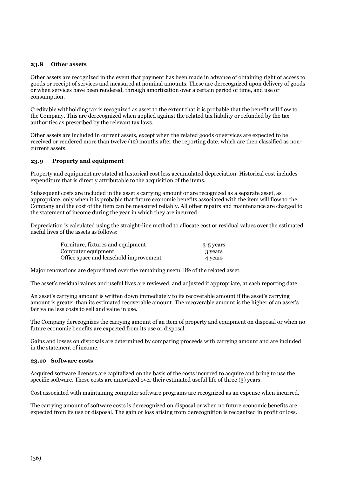#### **23.8 Other assets**

Other assets are recognized in the event that payment has been made in advance of obtaining right of access to goods or receipt of services and measured at nominal amounts. These are derecognized upon delivery of goods or when services have been rendered, through amortization over a certain period of time, and use or consumption.

Creditable withholding tax is recognized as asset to the extent that it is probable that the benefit will flow to the Company. This are derecognized when applied against the related tax liability or refunded by the tax authorities as prescribed by the relevant tax laws.

Other assets are included in current assets, except when the related goods or services are expected to be received or rendered more than twelve (12) months after the reporting date, which are then classified as noncurrent assets.

# **23.9 Property and equipment**

Property and equipment are stated at historical cost less accumulated depreciation. Historical cost includes expenditure that is directly attributable to the acquisition of the items.

Subsequent costs are included in the asset's carrying amount or are recognized as a separate asset, as appropriate, only when it is probable that future economic benefits associated with the item will flow to the Company and the cost of the item can be measured reliably. All other repairs and maintenance are charged to the statement of income during the year in which they are incurred.

Depreciation is calculated using the straight-line method to allocate cost or residual values over the estimated useful lives of the assets as follows:

| Furniture, fixtures and equipment      | 3-5 years |
|----------------------------------------|-----------|
| Computer equipment                     | 3 years   |
| Office space and leasehold improvement | 4 years   |

Major renovations are depreciated over the remaining useful life of the related asset.

The asset's residual values and useful lives are reviewed, and adjusted if appropriate, at each reporting date.

An asset's carrying amount is written down immediately to its recoverable amount if the asset's carrying amount is greater than its estimated recoverable amount. The recoverable amount is the higher of an asset's fair value less costs to sell and value in use.

The Company derecognizes the carrying amount of an item of property and equipment on disposal or when no future economic benefits are expected from its use or disposal.

Gains and losses on disposals are determined by comparing proceeds with carrying amount and are included in the statement of income.

#### **23.10 Software costs**

Acquired software licenses are capitalized on the basis of the costs incurred to acquire and bring to use the specific software. These costs are amortized over their estimated useful life of three (3) years.

Cost associated with maintaining computer software programs are recognized as an expense when incurred.

The carrying amount of software costs is derecognized on disposal or when no future economic benefits are expected from its use or disposal. The gain or loss arising from derecognition is recognized in profit or loss.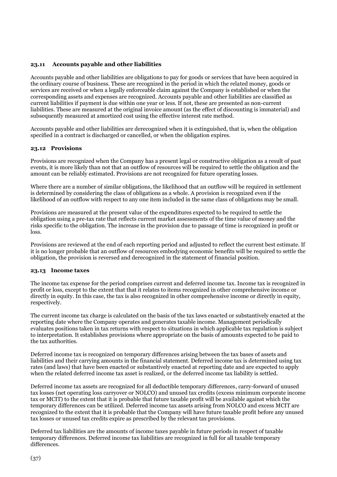# **23.11 Accounts payable and other liabilities**

Accounts payable and other liabilities are obligations to pay for goods or services that have been acquired in the ordinary course of business. These are recognized in the period in which the related money, goods or services are received or when a legally enforceable claim against the Company is established or when the corresponding assets and expenses are recognized. Accounts payable and other liabilities are classified as current liabilities if payment is due within one year or less. If not, these are presented as non-current liabilities. These are measured at the original invoice amount (as the effect of discounting is immaterial) and subsequently measured at amortized cost using the effective interest rate method.

Accounts payable and other liabilities are derecognized when it is extinguished, that is, when the obligation specified in a contract is discharged or cancelled, or when the obligation expires.

# **23.12 Provisions**

Provisions are recognized when the Company has a present legal or constructive obligation as a result of past events, it is more likely than not that an outflow of resources will be required to settle the obligation and the amount can be reliably estimated. Provisions are not recognized for future operating losses.

Where there are a number of similar obligations, the likelihood that an outflow will be required in settlement is determined by considering the class of obligations as a whole. A provision is recognized even if the likelihood of an outflow with respect to any one item included in the same class of obligations may be small.

Provisions are measured at the present value of the expenditures expected to be required to settle the obligation using a pre-tax rate that reflects current market assessments of the time value of money and the risks specific to the obligation. The increase in the provision due to passage of time is recognized in profit or loss.

Provisions are reviewed at the end of each reporting period and adjusted to reflect the current best estimate. If it is no longer probable that an outflow of resources embodying economic benefits will be required to settle the obligation, the provision is reversed and derecognized in the statement of financial position.

#### **23.13 Income taxes**

The income tax expense for the period comprises current and deferred income tax. Income tax is recognized in profit or loss, except to the extent that that it relates to items recognized in other comprehensive income or directly in equity. In this case, the tax is also recognized in other comprehensive income or directly in equity, respectively.

The current income tax charge is calculated on the basis of the tax laws enacted or substantively enacted at the reporting date where the Company operates and generates taxable income. Management periodically evaluates positions taken in tax returns with respect to situations in which applicable tax regulation is subject to interpretation. It establishes provisions where appropriate on the basis of amounts expected to be paid to the tax authorities.

Deferred income tax is recognized on temporary differences arising between the tax bases of assets and liabilities and their carrying amounts in the financial statement. Deferred income tax is determined using tax rates (and laws) that have been enacted or substantively enacted at reporting date and are expected to apply when the related deferred income tax asset is realized, or the deferred income tax liability is settled.

Deferred income tax assets are recognized for all deductible temporary differences, carry-forward of unused tax losses (net operating loss carryover or NOLCO) and unused tax credits (excess minimum corporate income tax or MCIT) to the extent that it is probable that future taxable profit will be available against which the temporary differences can be utilized. Deferred income tax assets arising from NOLCO and excess MCIT are recognized to the extent that it is probable that the Company will have future taxable profit before any unused tax losses or unused tax credits expire as prescribed by the relevant tax provisions.

Deferred tax liabilities are the amounts of income taxes payable in future periods in respect of taxable temporary differences. Deferred income tax liabilities are recognized in full for all taxable temporary differences.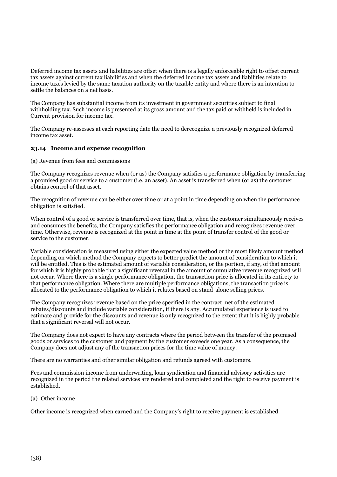Deferred income tax assets and liabilities are offset when there is a legally enforceable right to offset current tax assets against current tax liabilities and when the deferred income tax assets and liabilities relate to income taxes levied by the same taxation authority on the taxable entity and where there is an intention to settle the balances on a net basis.

The Company has substantial income from its investment in government securities subject to final withholding tax. Such income is presented at its gross amount and the tax paid or withheld is included in Current provision for income tax.

The Company re-assesses at each reporting date the need to derecognize a previously recognized deferred income tax asset.

# **23.14 Income and expense recognition**

(a) Revenue from fees and commissions

The Company recognizes revenue when (or as) the Company satisfies a performance obligation by transferring a promised good or service to a customer (i.e. an asset). An asset is transferred when (or as) the customer obtains control of that asset.

The recognition of revenue can be either over time or at a point in time depending on when the performance obligation is satisfied.

When control of a good or service is transferred over time, that is, when the customer simultaneously receives and consumes the benefits, the Company satisfies the performance obligation and recognizes revenue over time. Otherwise, revenue is recognized at the point in time at the point of transfer control of the good or service to the customer.

Variable consideration is measured using either the expected value method or the most likely amount method depending on which method the Company expects to better predict the amount of consideration to which it will be entitled. This is the estimated amount of variable consideration, or the portion, if any, of that amount for which it is highly probable that a significant reversal in the amount of cumulative revenue recognized will not occur. Where there is a single performance obligation, the transaction price is allocated in its entirety to that performance obligation. Where there are multiple performance obligations, the transaction price is allocated to the performance obligation to which it relates based on stand-alone selling prices.

The Company recognizes revenue based on the price specified in the contract, net of the estimated rebates/discounts and include variable consideration, if there is any. Accumulated experience is used to estimate and provide for the discounts and revenue is only recognized to the extent that it is highly probable that a significant reversal will not occur.

The Company does not expect to have any contracts where the period between the transfer of the promised goods or services to the customer and payment by the customer exceeds one year. As a consequence, the Company does not adjust any of the transaction prices for the time value of money.

There are no warranties and other similar obligation and refunds agreed with customers.

Fees and commission income from underwriting, loan syndication and financial advisory activities are recognized in the period the related services are rendered and completed and the right to receive payment is established.

# (a) Other income

Other income is recognized when earned and the Company's right to receive payment is established.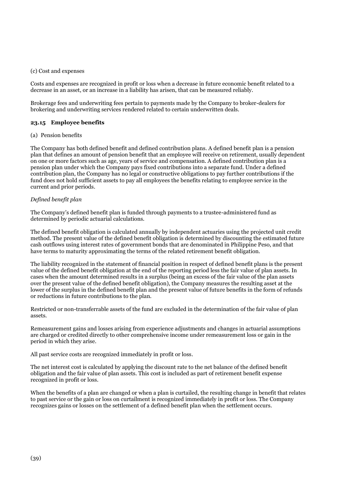#### (c) Cost and expenses

Costs and expenses are recognized in profit or loss when a decrease in future economic benefit related to a decrease in an asset, or an increase in a liability has arisen, that can be measured reliably.

Brokerage fees and underwriting fees pertain to payments made by the Company to broker-dealers for brokering and underwriting services rendered related to certain underwritten deals.

# **23.15 Employee benefits**

#### (a) Pension benefits

The Company has both defined benefit and defined contribution plans. A defined benefit plan is a pension plan that defines an amount of pension benefit that an employee will receive on retirement, usually dependent on one or more factors such as age, years of service and compensation. A defined contribution plan is a pension plan under which the Company pays fixed contributions into a separate fund. Under a defined contribution plan, the Company has no legal or constructive obligations to pay further contributions if the fund does not hold sufficient assets to pay all employees the benefits relating to employee service in the current and prior periods.

# *Defined benefit plan*

The Company's defined benefit plan is funded through payments to a trustee-administered fund as determined by periodic actuarial calculations.

The defined benefit obligation is calculated annually by independent actuaries using the projected unit credit method. The present value of the defined benefit obligation is determined by discounting the estimated future cash outflows using interest rates of government bonds that are denominated in Philippine Peso, and that have terms to maturity approximating the terms of the related retirement benefit obligation.

The liability recognized in the statement of financial position in respect of defined benefit plans is the present value of the defined benefit obligation at the end of the reporting period less the fair value of plan assets. In cases when the amount determined results in a surplus (being an excess of the fair value of the plan assets over the present value of the defined benefit obligation), the Company measures the resulting asset at the lower of the surplus in the defined benefit plan and the present value of future benefits in the form of refunds or reductions in future contributions to the plan.

Restricted or non-transferrable assets of the fund are excluded in the determination of the fair value of plan assets.

Remeasurement gains and losses arising from experience adjustments and changes in actuarial assumptions are charged or credited directly to other comprehensive income under remeasurement loss or gain in the period in which they arise.

All past service costs are recognized immediately in profit or loss.

The net interest cost is calculated by applying the discount rate to the net balance of the defined benefit obligation and the fair value of plan assets. This cost is included as part of retirement benefit expense recognized in profit or loss.

When the benefits of a plan are changed or when a plan is curtailed, the resulting change in benefit that relates to past service or the gain or loss on curtailment is recognized immediately in profit or loss. The Company recognizes gains or losses on the settlement of a defined benefit plan when the settlement occurs.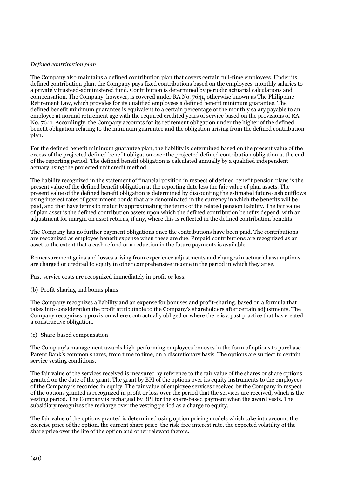#### *Defined contribution plan*

The Company also maintains a defined contribution plan that covers certain full-time employees. Under its defined contribution plan, the Company pays fixed contributions based on the employees' monthly salaries to a privately trusteed-administered fund. Contribution is determined by periodic actuarial calculations and compensation. The Company, however, is covered under RA No. 7641, otherwise known as The Philippine Retirement Law, which provides for its qualified employees a defined benefit minimum guarantee. The defined benefit minimum guarantee is equivalent to a certain percentage of the monthly salary payable to an employee at normal retirement age with the required credited years of service based on the provisions of RA No. 7641. Accordingly, the Company accounts for its retirement obligation under the higher of the defined benefit obligation relating to the minimum guarantee and the obligation arising from the defined contribution plan.

For the defined benefit minimum guarantee plan, the liability is determined based on the present value of the excess of the projected defined benefit obligation over the projected defined contribution obligation at the end of the reporting period. The defined benefit obligation is calculated annually by a qualified independent actuary using the projected unit credit method.

The liability recognized in the statement of financial position in respect of defined benefit pension plans is the present value of the defined benefit obligation at the reporting date less the fair value of plan assets. The present value of the defined benefit obligation is determined by discounting the estimated future cash outflows using interest rates of government bonds that are denominated in the currency in which the benefits will be paid, and that have terms to maturity approximating the terms of the related pension liability. The fair value of plan asset is the defined contribution assets upon which the defined contribution benefits depend, with an adjustment for margin on asset returns, if any, where this is reflected in the defined contribution benefits.

The Company has no further payment obligations once the contributions have been paid. The contributions are recognized as employee benefit expense when these are due. Prepaid contributions are recognized as an asset to the extent that a cash refund or a reduction in the future payments is available.

Remeasurement gains and losses arising from experience adjustments and changes in actuarial assumptions are charged or credited to equity in other comprehensive income in the period in which they arise.

Past-service costs are recognized immediately in profit or loss.

# (b) Profit-sharing and bonus plans

The Company recognizes a liability and an expense for bonuses and profit-sharing, based on a formula that takes into consideration the profit attributable to the Company's shareholders after certain adjustments. The Company recognizes a provision where contractually obliged or where there is a past practice that has created a constructive obligation.

#### (c) Share-based compensation

The Company's management awards high-performing employees bonuses in the form of options to purchase Parent Bank's common shares, from time to time, on a discretionary basis. The options are subject to certain service vesting conditions.

The fair value of the services received is measured by reference to the fair value of the shares or share options granted on the date of the grant. The grant by BPI of the options over its equity instruments to the employees of the Company is recorded in equity. The fair value of employee services received by the Company in respect of the options granted is recognized in profit or loss over the period that the services are received, which is the vesting period. The Company is recharged by BPI for the share-based payment when the award vests. The subsidiary recognizes the recharge over the vesting period as a charge to equity.

The fair value of the options granted is determined using option pricing models which take into account the exercise price of the option, the current share price, the risk-free interest rate, the expected volatility of the share price over the life of the option and other relevant factors.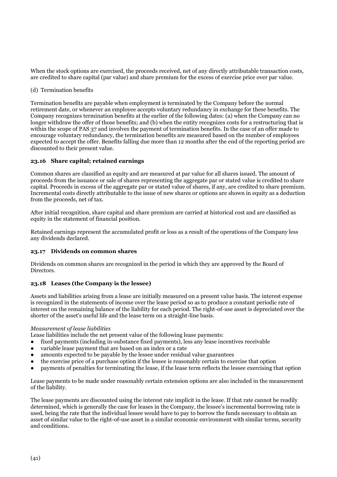When the stock options are exercised, the proceeds received, net of any directly attributable transaction costs, are credited to share capital (par value) and share premium for the excess of exercise price over par value.

# (d) Termination benefits

Termination benefits are payable when employment is terminated by the Company before the normal retirement date, or whenever an employee accepts voluntary redundancy in exchange for these benefits. The Company recognizes termination benefits at the earlier of the following dates: (a) when the Company can no longer withdraw the offer of those benefits; and (b) when the entity recognizes costs for a restructuring that is within the scope of PAS 37 and involves the payment of termination benefits. In the case of an offer made to encourage voluntary redundancy, the termination benefits are measured based on the number of employees expected to accept the offer. Benefits falling due more than 12 months after the end of the reporting period are discounted to their present value.

# **23.16 Share capital; retained earnings**

Common shares are classified as equity and are measured at par value for all shares issued. The amount of proceeds from the issuance or sale of shares representing the aggregate par or stated value is credited to share capital. Proceeds in excess of the aggregate par or stated value of shares, if any, are credited to share premium. Incremental costs directly attributable to the issue of new shares or options are shown in equity as a deduction from the proceeds, net of tax.

After initial recognition, share capital and share premium are carried at historical cost and are classified as equity in the statement of financial position.

Retained earnings represent the accumulated profit or loss as a result of the operations of the Company less any dividends declared.

# **23.17 Dividends on common shares**

Dividends on common shares are recognized in the period in which they are approved by the Board of Directors.

# **23.18 Leases (the Company is the lessee)**

Assets and liabilities arising from a lease are initially measured on a present value basis. The interest expense is recognized in the statements of income over the lease period so as to produce a constant periodic rate of interest on the remaining balance of the liability for each period. The right-of-use asset is depreciated over the shorter of the asset's useful life and the lease term on a straight-line basis.

#### *Measurement of lease liabilities*

- Lease liabilities include the net present value of the following lease payments:
- fixed payments (including in-substance fixed payments), less any lease incentives receivable
- variable lease payment that are based on an index or a rate
- amounts expected to be payable by the lessee under residual value guarantees
- the exercise price of a purchase option if the lessee is reasonably certain to exercise that option
- payments of penalties for terminating the lease, if the lease term reflects the lessee exercising that option

Lease payments to be made under reasonably certain extension options are also included in the measurement of the liability.

The lease payments are discounted using the interest rate implicit in the lease. If that rate cannot be readily determined, which is generally the case for leases in the Company, the lessee's incremental borrowing rate is used, being the rate that the individual lessee would have to pay to borrow the funds necessary to obtain an asset of similar value to the right-of-use asset in a similar economic environment with similar terms, security and conditions.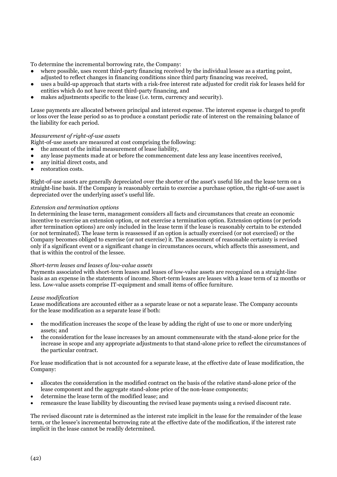To determine the incremental borrowing rate, the Company:

- where possible, uses recent third-party financing received by the individual lessee as a starting point, adjusted to reflect changes in financing conditions since third party financing was received,
- uses a build-up approach that starts with a risk-free interest rate adjusted for credit risk for leases held for entities which do not have recent third-party financing, and
- makes adjustments specific to the lease (i.e. term, currency and security).

Lease payments are allocated between principal and interest expense. The interest expense is charged to profit or loss over the lease period so as to produce a constant periodic rate of interest on the remaining balance of the liability for each period.

#### *Measurement of right-of-use assets*

Right-of-use assets are measured at cost comprising the following:

- the amount of the initial measurement of lease liability,
- any lease payments made at or before the commencement date less any lease incentives received,
- any initial direct costs, and
- restoration costs.

Right-of-use assets are generally depreciated over the shorter of the asset's useful life and the lease term on a straight-line basis. If the Company is reasonably certain to exercise a purchase option, the right-of-use asset is depreciated over the underlying asset's useful life.

#### *Extension and termination options*

In determining the lease term, management considers all facts and circumstances that create an economic incentive to exercise an extension option, or not exercise a termination option. Extension options (or periods after termination options) are only included in the lease term if the lease is reasonably certain to be extended (or not terminated). The lease term is reassessed if an option is actually exercised (or not exercised) or the Company becomes obliged to exercise (or not exercise) it. The assessment of reasonable certainty is revised only if a significant event or a significant change in circumstances occurs, which affects this assessment, and that is within the control of the lessee.

#### *Short-term leases and leases of low-value assets*

Payments associated with short-term leases and leases of low-value assets are recognized on a straight-line basis as an expense in the statements of income. Short-term leases are leases with a lease term of 12 months or less. Low-value assets comprise IT-equipment and small items of office furniture.

#### *Lease modification*

Lease modifications are accounted either as a separate lease or not a separate lease. The Company accounts for the lease modification as a separate lease if both:

- the modification increases the scope of the lease by adding the right of use to one or more underlying assets; and
- the consideration for the lease increases by an amount commensurate with the stand-alone price for the increase in scope and any appropriate adjustments to that stand-alone price to reflect the circumstances of the particular contract.

For lease modification that is not accounted for a separate lease, at the effective date of lease modification, the Company:

- allocates the consideration in the modified contract on the basis of the relative stand-alone price of the lease component and the aggregate stand-alone price of the non-lease components;
- determine the lease term of the modified lease; and
- remeasure the lease liability by discounting the revised lease payments using a revised discount rate.

The revised discount rate is determined as the interest rate implicit in the lease for the remainder of the lease term, or the lessee's incremental borrowing rate at the effective date of the modification, if the interest rate implicit in the lease cannot be readily determined.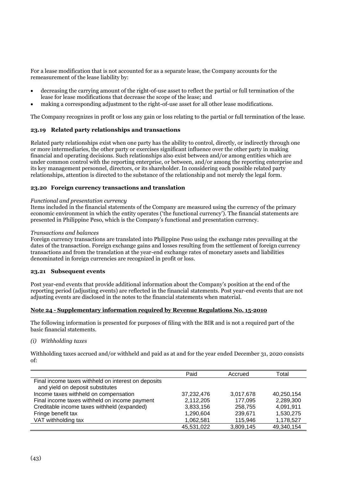For a lease modification that is not accounted for as a separate lease, the Company accounts for the remeasurement of the lease liability by:

- decreasing the carrying amount of the right-of-use asset to reflect the partial or full termination of the lease for lease modifications that decrease the scope of the lease; and
- making a corresponding adjustment to the right-of-use asset for all other lease modifications.

The Company recognizes in profit or loss any gain or loss relating to the partial or full termination of the lease.

# **23.19 Related party relationships and transactions**

Related party relationships exist when one party has the ability to control, directly, or indirectly through one or more intermediaries, the other party or exercises significant influence over the other party in making financial and operating decisions. Such relationships also exist between and/or among entities which are under common control with the reporting enterprise, or between, and/or among the reporting enterprise and its key management personnel, directors, or its shareholder. In considering each possible related party relationships, attention is directed to the substance of the relationship and not merely the legal form.

#### **23.20 Foreign currency transactions and translation**

#### *Functional and presentation currency*

Items included in the financial statements of the Company are measured using the currency of the primary economic environment in which the entity operates ('the functional currency'). The financial statements are presented in Philippine Peso, which is the Company's functional and presentation currency.

#### *Transactions and balances*

Foreign currency transactions are translated into Philippine Peso using the exchange rates prevailing at the dates of the transaction. Foreign exchange gains and losses resulting from the settlement of foreign currency transactions and from the translation at the year-end exchange rates of monetary assets and liabilities denominated in foreign currencies are recognized in profit or loss.

#### **23.21 Subsequent events**

Post year-end events that provide additional information about the Company's position at the end of the reporting period (adjusting events) are reflected in the financial statements. Post year-end events that are not adjusting events are disclosed in the notes to the financial statements when material.

# **Note 24 - Supplementary information required by Revenue Regulations No. 15-2010**

The following information is presented for purposes of filing with the BIR and is not a required part of the basic financial statements.

# *(i) Withholding taxes*

Withholding taxes accrued and/or withheld and paid as at and for the year ended December 31, 2020 consists of:

|                                                     | Paid       | Accrued   | Total      |
|-----------------------------------------------------|------------|-----------|------------|
| Final income taxes withheld on interest on deposits |            |           |            |
| and yield on deposit substitutes                    |            |           |            |
| Income taxes withheld on compensation               | 37,232,476 | 3,017,678 | 40,250,154 |
| Final income taxes withheld on income payment       | 2,112,205  | 177,095   | 2,289,300  |
| Creditable income taxes withheld (expanded)         | 3,833,156  | 258,755   | 4,091,911  |
| Fringe benefit tax                                  | 1,290,604  | 239,671   | 1,530,275  |
| VAT withholding tax                                 | 1,062,581  | 115,946   | 1,178,527  |
|                                                     | 45,531,022 | 3,809,145 | 49,340,154 |